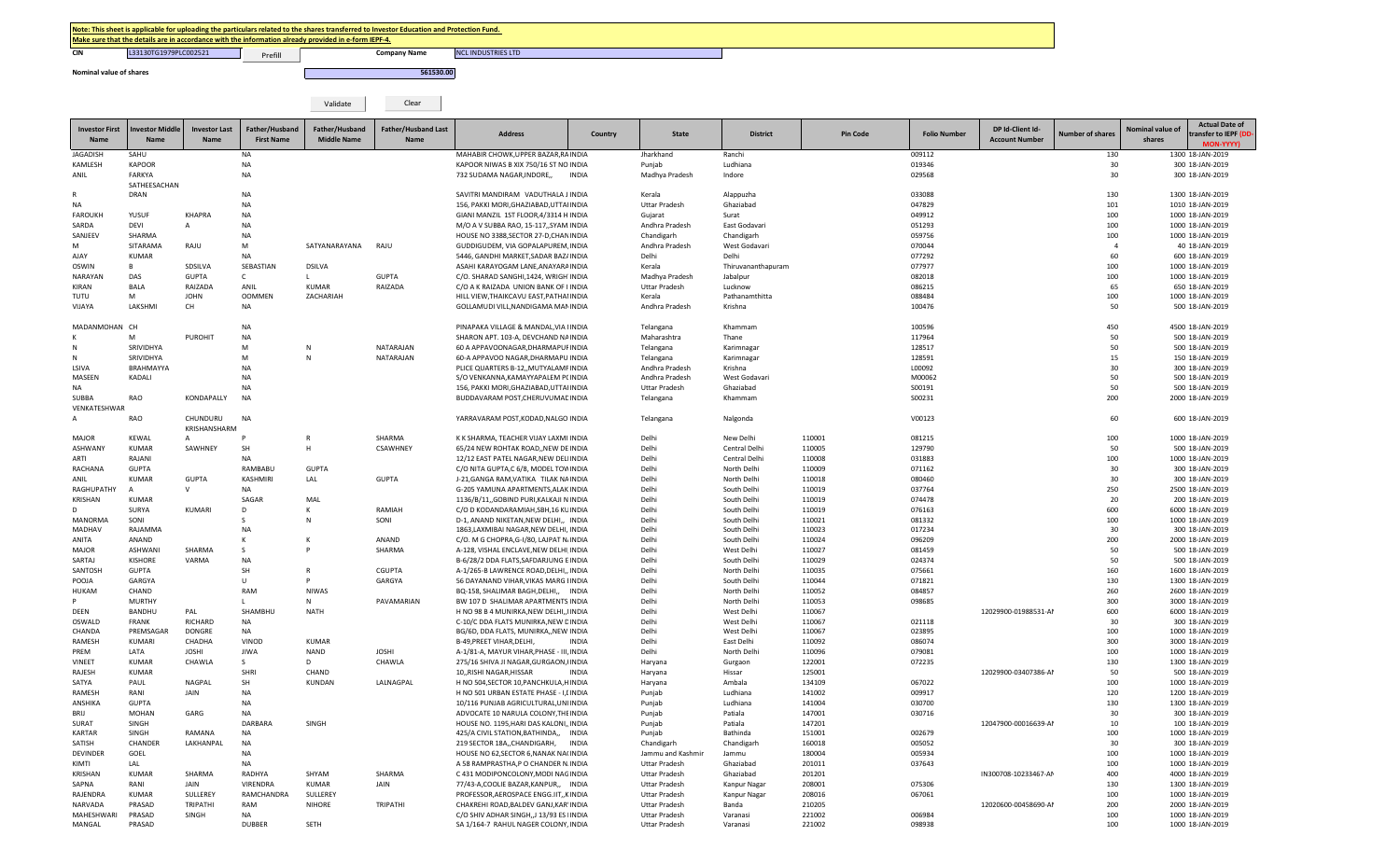Prefill

**CIN** L33130TG1979PLC002521 **No. 2 Prefill** No. 2 **Company Name** NCL INDUSTRIES LTD

| Nominal value of shares |                                          |                              |                                     |                                      | 561530.00                                 |                                       |              |                |                 |                 |                     |                                           |                  |                            |                                                                    |
|-------------------------|------------------------------------------|------------------------------|-------------------------------------|--------------------------------------|-------------------------------------------|---------------------------------------|--------------|----------------|-----------------|-----------------|---------------------|-------------------------------------------|------------------|----------------------------|--------------------------------------------------------------------|
|                         |                                          |                              |                                     | Validate                             | Clear                                     |                                       |              |                |                 |                 |                     |                                           |                  |                            |                                                                    |
| Name                    | Investor First   Investor Middle<br>Name | <b>Investor Last</b><br>Name | Father/Husband<br><b>First Name</b> | Father/Husband<br><b>Middle Name</b> | <b>Father/Husband Last</b><br><b>Name</b> | <b>Address</b>                        | Country      | <b>State</b>   | <b>District</b> | <b>Pin Code</b> | <b>Folio Number</b> | DP Id-Client Id-<br><b>Account Number</b> | Number of shares | Nominal value of<br>shares | <b>Actual Date of</b><br>transfer to IEPF (DD-<br><b>MON-YYYY)</b> |
| JAGADISH                | SAHU                                     |                              | <b>NA</b>                           |                                      |                                           | MAHABIR CHOWK, UPPER BAZAR, RA INDIA  |              | Jharkhand      | Ranchi          |                 | 009112              |                                           | 130              |                            | 1300 18-JAN-2019                                                   |
| KAMLESH                 | KAPOOR                                   |                              | NA                                  |                                      |                                           | KAPOOR NIWAS B XIX 750/16 ST NO INDIA |              | Punjab         | Ludhiana        |                 | 019346              |                                           | 30               |                            | 300 18-JAN-2019                                                    |
| ANIL                    | FARKYA                                   |                              | <b>NA</b>                           |                                      |                                           | 732 SUDAMA NAGAR.INDORE               | <b>INDIA</b> | Madhya Pradesh | Indore          |                 | 029568              |                                           | 30               |                            | 300 18-JAN-2019                                                    |
|                         | SATHEESACHAN                             |                              |                                     |                                      |                                           |                                       |              |                |                 |                 |                     |                                           |                  |                            |                                                                    |
| R                       | DRAN                                     |                              | NA                                  |                                      |                                           | SAVITRI MANDIRAM VADUTHALA J INDIA    |              | Kerala         | Alappuzha       |                 | 033088              |                                           | 130              |                            | 1300 18-JAN-2019                                                   |
| NA                      |                                          |                              | <b>NA</b>                           |                                      |                                           | 156. PAKKI MORI.GHAZIABAD.UTTA INDIA  |              | Uttar Pradesh  | Ghaziabad       |                 | 047829              |                                           | 101              |                            | 1010 18-JAN-2019                                                   |

| NA             |                  |                | <b>NA</b>       |               |              | 156, PAKKI MORI, GHAZIABAD, UTTA INDIA          | Uttar Pradesh        | Ghaziabad          |        | 047829 |                      | 101      | 1010 18-JAN-2019 |
|----------------|------------------|----------------|-----------------|---------------|--------------|-------------------------------------------------|----------------------|--------------------|--------|--------|----------------------|----------|------------------|
| <b>FAROUKH</b> | YUSUF            | <b>KHAPRA</b>  | <b>NA</b>       |               |              | GIANI MANZIL 1ST FLOOR, 4/3314 H INDIA          | Gujarat              | Surat              |        | 049912 |                      | 100      | 1000 18-JAN-2019 |
| SARDA          | DEVI             | $\mathsf{A}$   | <b>NA</b>       |               |              | M/O A V SUBBA RAO, 15-117, SYAM INDIA           | Andhra Pradesh       | East Godavari      |        | 051293 |                      | 100      | 1000 18-JAN-2019 |
| SANJEEV        | SHARMA           |                | <b>NA</b>       |               |              | HOUSE NO 3388.SECTOR 27-D.CHAN INDIA            | Chandigarh           | Chandigarh         |        | 059756 |                      | 100      | 1000 18-JAN-2019 |
| M              | SITARAMA         | RAJU           | M               | SATYANARAYANA | RAJU         | GUDDIGUDEM, VIA GOPALAPUREM INDIA               | Andhra Pradesh       | West Godavari      |        | 070044 |                      | $\Delta$ | 40 18-JAN-2019   |
| AJAY           | <b>KUMAR</b>     |                | <b>NA</b>       |               |              | 5446, GANDHI MARKET, SADAR BAZ/ INDIA           | Delhi                | Delhi              |        | 077292 |                      | 60       | 600 18-JAN-2019  |
| <b>OSWIN</b>   | B.               | SDSILVA        | SEBASTIAN       | <b>DSILVA</b> |              | ASAHI KARAYOGAM LANE, ANAYARA INDIA             | Kerala               | Thiruvananthapuram |        | 077977 |                      | 100      | 1000 18-JAN-2019 |
| NARAYAN        | DAS              | <b>GUPTA</b>   | $\mathsf{C}$    |               | <b>GUPTA</b> | C/O. SHARAD SANGHI, 1424, WRIGH INDIA           | Madhya Pradesh       | Jabalpur           |        | 082018 |                      | 100      | 1000 18-JAN-2019 |
| KIRAN          | <b>BALA</b>      | RAIZADA        | ANIL            | <b>KUMAR</b>  | RAIZADA      | C/O A K RAIZADA UNION BANK OF I INDIA           | <b>Uttar Pradesh</b> | Lucknow            |        | 086215 |                      | 65       | 650 18-JAN-2019  |
| TUTU           | M                | <b>JOHN</b>    | <b>OOMMEN</b>   | ZACHARIAH     |              | HILL VIEW, THAIKCAVU EAST, PATHAI INDIA         | Kerala               | Pathanamthitta     |        | 088484 |                      | 100      | 1000 18-JAN-2019 |
| VIJAYA         | LAKSHMI          | CH.            | <b>NA</b>       |               |              | GOLLAMUDI VILL, NANDIGAMA MAI INDIA             | Andhra Pradesh       | Krishna            |        | 100476 |                      | 50       | 500 18-JAN-2019  |
|                |                  |                |                 |               |              |                                                 |                      |                    |        |        |                      |          |                  |
| MADANMOHAN CH  |                  |                | <b>NA</b>       |               |              | PINAPAKA VILLAGE & MANDAL, VIA INDIA            | Telangana            | Khammam            |        | 100596 |                      | 450      | 4500 18-JAN-2019 |
|                | M                | <b>PUROHIT</b> | <b>NA</b>       |               |              | SHARON APT. 103-A, DEVCHAND NA INDIA            | Maharashtra          | Thane              |        | 117964 |                      | 50       | 500 18-JAN-2019  |
|                | SRIVIDHYA        |                | M               |               | NATARAJAN    | 60 A APPAVOONAGAR, DHARMAPUI INDIA              | Telangana            | Karimnagar         |        | 128517 |                      | 50       | 500 18-JAN-2019  |
|                | SRIVIDHYA        |                | M               | N             | NATARAJAN    | 60-A APPAVOO NAGAR.DHARMAPU INDIA               | Telangana            | Karimnagar         |        | 128591 |                      | 15       | 150 18-JAN-2019  |
| LSIVA          | <b>BRAHMAYYA</b> |                | <b>NA</b>       |               |              | PLICE QUARTERS B-12, MUTYALAMI INDIA            | Andhra Pradesh       | Krishna            |        | L00092 |                      | 30       | 300 18-JAN-2019  |
| MASEEN         | KADALI           |                | <b>NA</b>       |               |              | S/O VENKANNA, KAMAYYAPALEM P(INDIA              | Andhra Pradesh       | West Godavari      |        | M00062 |                      | 50       | 500 18-JAN-2019  |
| NA             |                  |                | <b>NA</b>       |               |              | 156, PAKKI MORI, GHAZIABAD, UTTA INDIA          | <b>Uttar Pradesh</b> | Ghaziabad          |        | S00191 |                      | 50       | 500 18-JAN-2019  |
| SUBBA          | RAO              | KONDAPALLY     | <b>NA</b>       |               |              | BUDDAVARAM POST, CHERUVUMAE INDIA               | Telangana            | Khammam            |        | S00231 |                      | 200      | 2000 18-JAN-2019 |
| VENKATESHWAR   |                  |                |                 |               |              |                                                 |                      |                    |        |        |                      |          |                  |
| $\mathsf{A}$   | <b>RAO</b>       | CHUNDURU       | <b>NA</b>       |               |              | YARRAVARAM POST, KODAD, NALGO INDIA             | Telangana            | Nalgonda           |        | V00123 |                      | 60       | 600 18-JAN-2019  |
|                |                  | KRISHANSHARM   |                 |               |              |                                                 |                      |                    |        |        |                      |          |                  |
| MAJOR          | KEWAL            | Α              |                 |               | SHARMA       | K K SHARMA, TEACHER VIJAY LAXMI INDIA           | Delhi                | New Delhi          | 110001 | 081215 |                      | 100      | 1000 18-JAN-2019 |
| ASHWANY        | <b>KUMAR</b>     | SAWHNEY        | SH              | H             | CSAWHNEY     | 65/24 NEW ROHTAK ROAD,, NEW DE INDIA            | Delhi                | Central Delhi      | 110005 | 129790 |                      | 50       | 500 18-JAN-2019  |
| ARTI           | RAJANI           |                | <b>NA</b>       |               |              | 12/12 EAST PATEL NAGAR, NEW DEL INDIA           | Delhi                | Central Delhi      | 110008 | 031883 |                      | 100      | 1000 18-JAN-2019 |
| RACHANA        | <b>GUPTA</b>     |                | RAMBABU         | <b>GUPTA</b>  |              | C/O NITA GUPTA,C 6/8, MODEL TOV INDIA           | Delhi                | North Delhi        | 110009 | 071162 |                      | 30       | 300 18-JAN-2019  |
| ANIL           | <b>KUMAR</b>     | <b>GUPTA</b>   | <b>KASHMIRI</b> | LAL           | <b>GUPTA</b> | J-21.GANGA RAM.VATIKA TILAK NA INDIA            | Delhi                | North Delhi        | 110018 | 080460 |                      | 30       | 300 18-JAN-2019  |
| RAGHUPATHY     |                  | $\mathsf{V}$   | NA              |               |              | G-205 YAMUNA APARTMENTS, ALAK INDIA             | Delhi                | South Delhi        | 110019 | 037764 |                      | 250      | 2500 18-JAN-2019 |
| KRISHAN        | <b>KUMAR</b>     |                | SAGAR           | MAL           |              | 1136/B/11, GOBIND PURI, KALKAJI N INDIA         | Delhi                | South Delhi        | 110019 | 074478 |                      | 20       | 200 18-JAN-2019  |
| <sub>D</sub>   | SURYA            | KUMARI         | D               | к             | RAMIAH       | C/O D KODANDARAMIAH, SBH, 16 KL INDIA           | Delhi                | South Delhi        | 110019 | 076163 |                      | 600      | 6000 18-JAN-2019 |
| <b>MANORMA</b> | SONI             |                |                 | N             | SONI         | D-1, ANAND NIKETAN, NEW DELHI,, INDIA           | Delhi                | South Delhi        | 110021 | 081332 |                      | 100      | 1000 18-JAN-2019 |
| MADHAV         | RAJAMMA          |                | <b>NA</b>       |               |              | 1863,LAXMIBAI NAGAR,NEW DELHI, INDIA            | Delhi                | South Delhi        | 110023 | 017234 |                      | 30       | 300 18-JAN-2019  |
| ANITA          | <b>ANAND</b>     |                |                 |               | ANAND        | C/O. M G CHOPRA, G-I/80, LAJPAT N. INDIA        | Delhi                | South Delhi        | 110024 | 096209 |                      | 200      | 2000 18-JAN-2019 |
| <b>MAJOR</b>   | <b>ASHWAN</b>    | SHARMA         |                 |               | SHARMA       | A-128, VISHAL ENCLAVE, NEW DELHI INDIA          | Delhi                | West Delhi         | 110027 | 081459 |                      | 50       | 500 18-JAN-2019  |
| SARTAJ         | <b>KISHORE</b>   | VARMA          | <b>NA</b>       |               |              | B-6/28/2 DDA FLATS, SAFDARJUNG E INDIA          | Delhi                | South Delhi        | 110029 | 024374 |                      | 50       | 500 18-JAN-2019  |
| SANTOSH        | <b>GUPTA</b>     |                | SH              |               | CGUPTA       | A-1/265-B LAWRENCE ROAD, DELHI,, INDIA          | Delhi                | North Delhi        | 110035 | 075661 |                      | 160      | 1600 18-JAN-2019 |
| POOJA          | GARGYA           |                | $\mathbf{H}$    |               | GARGYA       | 56 DAYANAND VIHAR, VIKAS MARG I INDIA           | Delhi                | South Delhi        | 110044 | 071821 |                      | 130      | 1300 18-JAN-2019 |
| <b>HUKAM</b>   | CHAND            |                | RAM             | <b>NIWAS</b>  |              | BQ-158, SHALIMAR BAGH, DELHI,, INDIA            | Delhi                | North Delhi        | 110052 | 084857 |                      | 260      | 2600 18-JAN-2019 |
| P              | <b>MURTHY</b>    |                |                 | N             | PAVAMARIAN   | BW 107 D SHALIMAR APARTMENTS INDIA              | Delhi                | North Delhi        | 110053 | 098685 |                      | 300      | 3000 18-JAN-2019 |
| DEEN           | <b>BANDHU</b>    | PAL            | SHAMBHU         | <b>NATH</b>   |              | H NO 98 B 4 MUNIRKA, NEW DELHI,, INDIA          | Delhi                | West Delhi         | 110067 |        | 12029900-01988531-AM | 600      | 6000 18-JAN-2019 |
| OSWALD         | <b>FRANK</b>     | RICHARD        | <b>NA</b>       |               |              | C-10/C DDA FLATS MUNIRKA, NEW E INDIA           | Delhi                | West Delhi         | 110067 | 021118 |                      | 30       | 300 18-JAN-2019  |
| CHANDA         | PREMSAGAR        | <b>DONGRE</b>  | <b>NA</b>       |               |              | BG/6D, DDA FLATS, MUNIRKA,, NEW INDIA           | Delhi                | West Delhi         | 110067 | 023895 |                      | 100      | 1000 18-JAN-2019 |
| RAMESH         | KUMARI           | CHADHA         | VINOD           | <b>KUMAR</b>  |              | B-49, PREET VIHAR, DELHI,<br><b>INDIA</b>       | Delhi                | East Delhi         | 110092 | 086074 |                      | 300      | 3000 18-JAN-2019 |
| PREM           | LATA             | <b>JOSHI</b>   | <b>JIWA</b>     | <b>NAND</b>   | <b>JOSHI</b> | A-1/81-A, MAYUR VIHAR, PHASE - III, INDIA       | Delhi                | North Delhi        | 110096 | 079081 |                      | 100      | 1000 18-JAN-2019 |
| VINEET         | <b>KUMAR</b>     | CHAWLA         |                 | D             | CHAWLA       | 275/16 SHIVA JI NAGAR, GURGAON, INDIA           | Haryana              | Gurgaon            | 122001 | 072235 |                      | 130      | 1300 18-JAN-2019 |
| RAJESH         | KUMAR            |                | SHRI            | CHAND         |              | 10, RISHI NAGAR, HISSAR<br><b>INDIA</b>         | Haryana              | Hissar             | 125001 |        | 12029900-03407386-AM | 50       | 500 18-JAN-2019  |
| SATYA          | PAUL             | NAGPAL         | SH              | KUNDAN        | LALNAGPAL    | H NO 504, SECTOR 10, PANCHKULA, HINDIA          | Haryana              | Ambala             | 134109 | 067022 |                      | 100      | 1000 18-JAN-2019 |
| RAMESH         | RANI             | JAIN           | <b>NA</b>       |               |              | H NO 501 URBAN ESTATE PHASE - I,I INDIA         | Punjab               | Ludhiana           | 141002 | 009917 |                      | 120      | 1200 18-JAN-2019 |
| <b>ANSHIKA</b> | <b>GUPTA</b>     |                | <b>NA</b>       |               |              | 10/116 PUNJAB AGRICULTURAL, UNI INDIA           | Punjab               | Ludhiana           | 141004 | 030700 |                      | 130      | 1300 18-JAN-2019 |
| RRII           | <b>MOHAN</b>     | GARG           | <b>NA</b>       |               |              | ADVOCATE 10 NARULA COLONY, THE INDIA            | Punjab               | Patiala            | 147001 | 030716 |                      | 30       | 300 18-JAN-2019  |
| SURAT          | SINGH            |                | DARBARA         | SINGH         |              | HOUSE NO. 1195, HARI DAS KALONI, INDIA          | Punjab               | Patiala            | 147201 |        | 12047900-00016639-AM | 10       | 100 18-JAN-2019  |
| <b>KARTAR</b>  | SINGH            | RAMANA         | <b>NA</b>       |               |              | 425/A CIVIL STATION, BATHINDA,,<br><b>INDIA</b> | Punjab               | Bathinda           | 151001 | 002679 |                      | 100      | 1000 18-JAN-2019 |
| SATISH         | CHANDEF          | LAKHANPAL      | <b>NA</b>       |               |              | 219 SECTOR 18A,,CHANDIGARH,<br>INDIA            | Chandigarh           | Chandigarh         | 160018 | 005052 |                      | 30       | 300 18-JAN-2019  |
| DEVINDER       | GOEL             |                | <b>NA</b>       |               |              | HOUSE NO 62, SECTOR 6, NANAK NAI INDIA          | Jammu and Kashmir    | Jammu              | 180004 | 005934 |                      | 100      | 1000 18-JAN-2019 |
| KIMTI          | LAL              |                | <b>NA</b>       |               |              | A 58 RAMPRASTHA, P O CHANDER N INDIA            | <b>Uttar Pradesh</b> | Ghaziabad          | 201011 | 037643 |                      | 100      | 1000 18-JAN-2019 |
| <b>KRISHAN</b> | <b>KUMAR</b>     | SHARMA         | RADHYA          | SHYAM         | SHARMA       | C 431 MODIPONCOLONY, MODI NAC INDIA             | <b>Uttar Pradesh</b> | Ghaziabad          | 201201 |        | IN300708-10233467-AM | 400      | 4000 18-JAN-2019 |
| SAPNA          | RANI             | JAIN           | VIRENDRA        | <b>KUMAR</b>  | JAIN         | 77/43-A, COOLIE BAZAR, KANPUR,, INDIA           | <b>Uttar Pradesh</b> | Kanpur Nagar       | 208001 | 075306 |                      | 130      | 1300 18-JAN-2019 |
| RAJENDRA       | <b>KUMAR</b>     | SULLEREY       | RAMCHANDRA      | SULLEREY      |              | PROFESSOR, AEROSPACE ENGG.IIT, KINDIA           | <b>Uttar Pradesh</b> | Kanpur Nagar       | 208016 | 067061 |                      | 100      | 1000 18-JAN-2019 |
| <b>NARVADA</b> | PRASAD           | TRIPATHI       | RAM             | <b>NIHORE</b> | TRIPATHI     | CHAKREHI ROAD, BALDEV GANJ, KAR INDIA           | <b>Uttar Pradesh</b> | Banda              | 210205 |        | 12020600-00458690-AM | 200      | 2000 18-JAN-2019 |
| MAHESHWARI     | PRASAD           | SINGH          | <b>NA</b>       |               |              | C/O SHIV ADHAR SINGH, J 13/93 ES INDIA          | <b>Uttar Pradesh</b> | Varanasi           | 221002 | 006984 |                      | 100      | 1000 18-JAN-2019 |
| MANGAL         | PRASAD           |                | <b>DUBBER</b>   | SETH          |              | SA 1/164-7 RAHUL NAGER COLONY, INDIA            | <b>Uttar Pradesh</b> | Varanasi           | 221002 | 098938 |                      | 100      | 1000 18-JAN-2019 |
|                |                  |                |                 |               |              |                                                 |                      |                    |        |        |                      |          |                  |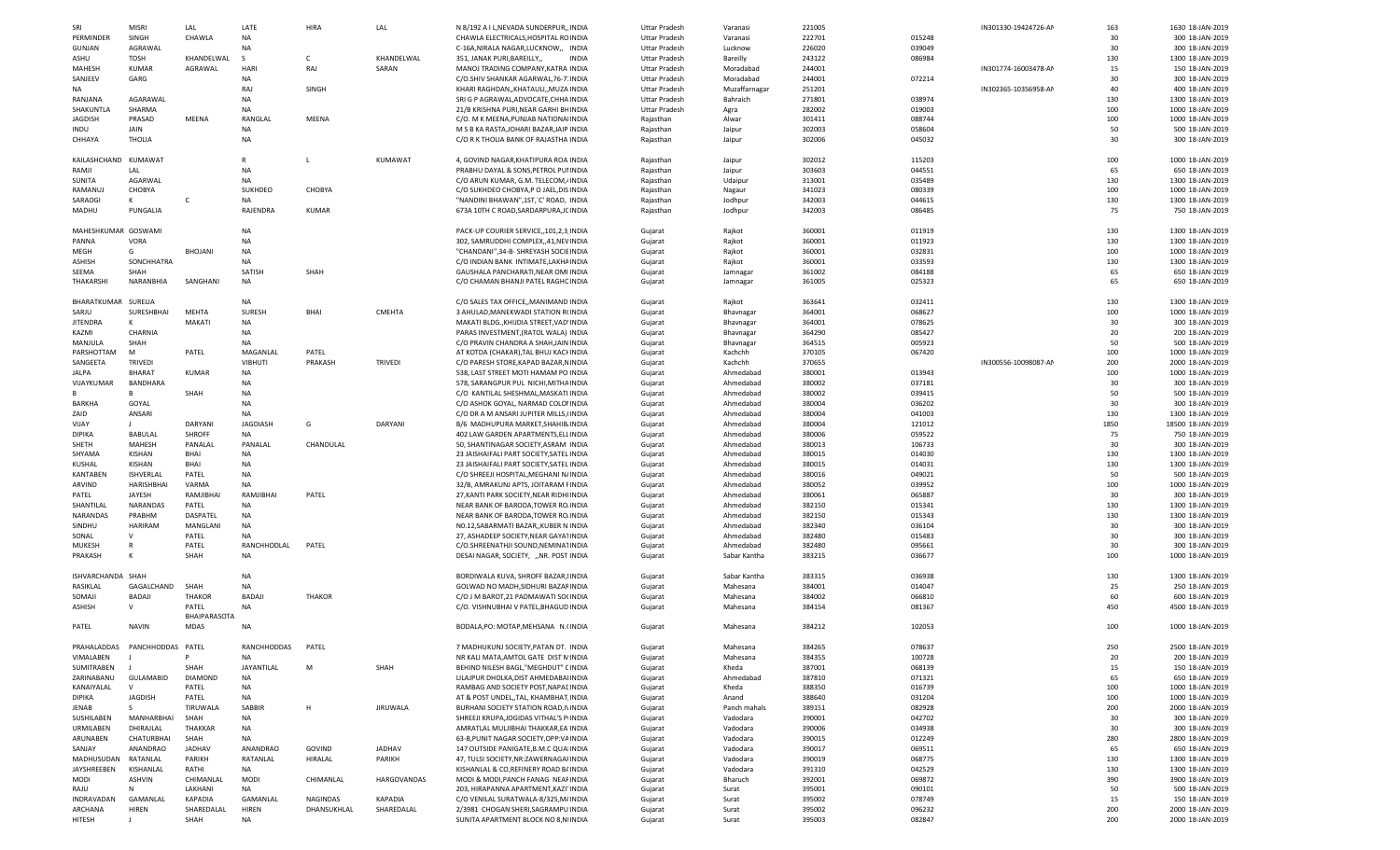| SRI                  | <b>MISRI</b>     | LAL            | LATE            | HIRA          | LAL             | N 8/192 A I L, NEVADA SUNDERPUR, INDIA     | <b>Uttar Pradesh</b> | Varanasi      | 221005 |        | IN301330-19424726-AM | 163  | 1630 18-JAN-2019  |
|----------------------|------------------|----------------|-----------------|---------------|-----------------|--------------------------------------------|----------------------|---------------|--------|--------|----------------------|------|-------------------|
| PERMINDER            | SINGH            | CHAWLA         | <b>NA</b>       |               |                 | CHAWLA ELECTRICALS, HOSPITAL RC INDIA      | <b>Uttar Pradesh</b> | Varanasi      | 222701 | 015248 |                      | 30   | 300 18-JAN-2019   |
|                      |                  |                |                 |               |                 |                                            |                      |               |        |        |                      | 30   |                   |
| <b>GUNJAN</b>        | AGRAWAL          |                | <b>NA</b>       |               |                 | C-16A, NIRALA NAGAR, LUCKNOW,, INDIA       | <b>Uttar Pradesh</b> | Lucknow       | 226020 | 039049 |                      |      | 300 18-JAN-2019   |
| ASHU                 | TOSH             | KHANDELWAL     | S.              | C.            | KHANDELWAL      | 351, JANAK PURI, BAREILLY,<br><b>INDIA</b> | Uttar Pradesh        | Bareilly      | 243122 | 086984 |                      | 130  | 1300 18-JAN-2019  |
| MAHESH               | <b>KUMAR</b>     | AGRAWAL        | HARI            | RAJ           | SARAN           | MANOJ TRADING COMPANY, KATRA INDIA         | Uttar Pradesh        | Moradabad     | 244001 |        | IN301774-16003478-AM | 15   | 150 18-JAN-2019   |
| SANJEEV              | GARG             |                | <b>NA</b>       |               |                 | C/O.SHIV SHANKAR AGARWAL, 76-7 INDIA       | Uttar Pradesh        | Moradabad     | 244001 | 072214 |                      | 30   | 300 18-JAN-2019   |
| ΝA                   |                  |                | RAJ             | SINGH         |                 | KHARI RAGHDAN,, KHATAULI,, MUZA INDIA      | Uttar Pradesh        | Muzaffarnagar | 251201 |        | IN302365-10356958-AM | 40   | 400 18-JAN-2019   |
| RANJANA              | AGARAWAL         |                | <b>NA</b>       |               |                 | SRI G P AGRAWAL, ADVOCATE, CHHA INDIA      | <b>Uttar Pradesh</b> | Bahraich      | 271801 | 038974 |                      | 130  | 1300 18-JAN-2019  |
| SHAKUNTLA            | SHARMA           |                | <b>NA</b>       |               |                 | 21/B KRISHNA PURI, NEAR GARHI BI- INDIA    | <b>Uttar Pradesh</b> | Agra          | 282002 | 019003 |                      | 100  | 1000 18-JAN-2019  |
|                      |                  |                |                 |               |                 |                                            |                      |               |        |        |                      |      |                   |
| <b>JAGDISH</b>       | PRASAD           | MEENA          | RANGLAL         | MEENA         |                 | C/O. M K MEENA, PUNJAB NATIONA INDIA       | Rajasthan            | Alwar         | 301411 | 088744 |                      | 100  | 1000 18-JAN-2019  |
| INDU                 | JAIN             |                | NA              |               |                 | M S B KA RASTA, JOHARI BAZAR, JAIP INDIA   | Rajasthan            | Jaipur        | 302003 | 058604 |                      | 50   | 500 18-JAN-2019   |
| CHHAYA               | <b>THOLIA</b>    |                | NA              |               |                 | C/O R K THOLIA BANK OF RAJASTHA INDIA      | Rajasthan            | Jaipur        | 302006 | 045032 |                      | 30   | 300 18-JAN-2019   |
|                      |                  |                |                 |               |                 |                                            |                      |               |        |        |                      |      |                   |
| KAILASHCHAND KUMAWAT |                  |                | $\mathsf{R}$    |               | KUMAWAT         | 4, GOVIND NAGAR, KHATIPURA ROA INDIA       | Rajasthan            | Jaipur        | 302012 | 115203 |                      | 100  | 1000 18-JAN-2019  |
| RAMJI                | LAL              |                | <b>NA</b>       |               |                 | PRABHU DAYAL & SONS, PETROL PUI INDIA      |                      | Jaipur        | 303603 | 044551 |                      | 65   | 650 18-JAN-2019   |
|                      |                  |                |                 |               |                 |                                            | Rajasthan            |               |        |        |                      |      |                   |
| SUNITA               | AGARWAL          |                | <b>NA</b>       |               |                 | C/O ARUN KUMAR, G.M. TELECOM, INDIA        | Rajasthan            | Udaipur       | 313001 | 035489 |                      | 130  | 1300 18-JAN-2019  |
| RAMANUJ              | CHOBYA           |                | SUKHDEO         | CHOBYA        |                 | C/O SUKHDEO CHOBYA.P O JAEL.DIS INDIA      | Rajasthan            | Nagaur        | 341023 | 080339 |                      | 100  | 1000 18-JAN-2019  |
| SARAOGI              | к                | C              | <b>NA</b>       |               |                 | "NANDINI BHAWAN",1ST, C' ROAD, INDIA       | Rajasthan            | Jodhpur       | 342003 | 044615 |                      | 130  | 1300 18-JAN-2019  |
| MADHU                | PUNGALIA         |                | RAJENDRA        | <b>KUMAR</b>  |                 | 673A 10TH C ROAD, SARDARPURA, JC INDIA     | Rajasthan            | Jodhpur       | 342003 | 086485 |                      | 75   | 750 18-JAN-2019   |
|                      |                  |                |                 |               |                 |                                            |                      |               |        |        |                      |      |                   |
| MAHESHKUMAR GOSWAMI  |                  |                | <b>NA</b>       |               |                 | PACK-UP COURIER SERVICE,, 101, 2, 3 INDIA  |                      | Rajkot        | 360001 | 011919 |                      | 130  | 1300 18-JAN-2019  |
|                      |                  |                |                 |               |                 |                                            | Gujarat              |               |        |        |                      |      |                   |
| PANNA                | VORA             |                | <b>NA</b>       |               |                 | 302, SAMRUDDHI COMPLEX,,41,NEV INDIA       | Gujarat              | Rajkot        | 360001 | 011923 |                      | 130  | 1300 18-JAN-2019  |
| MEGH                 | G                | <b>BHOJANI</b> | <b>NA</b>       |               |                 | "CHANDANI", 34-B- SHREYASH SOCIE INDIA     | Gujarat              | Rajkot        | 360001 | 032831 |                      | 100  | 1000 18-JAN-2019  |
| ASHISH               | SONCHHATRA       |                | <b>NA</b>       |               |                 | C/O INDIAN BANK INTIMATE, LAKHA INDIA      | Gujarat              | Rajkot        | 360001 | 033593 |                      | 130  | 1300 18-JAN-2019  |
| SEEMA                | SHAH             |                | SATISH          | SHAH          |                 | GAUSHALA PANCHARATI, NEAR OMI INDIA        | Gujarat              | Jamnagar      | 361002 | 084188 |                      | 65   | 650 18-JAN-2019   |
| THAKARSHI            | NARANBHIA        | SANGHANI       | <b>NA</b>       |               |                 | C/O CHAMAN BHANJI PATEL RAGHC INDIA        | Gujarat              | Jamnagar      | 361005 | 025323 |                      | 65   | 650 18-JAN-2019   |
|                      |                  |                |                 |               |                 |                                            |                      |               |        |        |                      |      |                   |
|                      |                  |                |                 |               |                 |                                            |                      |               |        |        |                      |      |                   |
| BHARATKUMAR SURELIA  |                  |                | NA              |               |                 | C/O SALES TAX OFFICE,, MANIMAND INDIA      | Gujarat              | Rajkot        | 363641 | 032411 |                      | 130  | 1300 18-JAN-2019  |
| SARJU                | SURESHBHAI       | MEHTA          | SURESH          | BHAI          | CMEHTA          | 3 AHULAD, MANEKWADI STATION RI INDIA       | Gujarat              | Bhavnagar     | 364001 | 068627 |                      | 100  | 1000 18-JAN-2019  |
| <b>JITENDRA</b>      | К                | MAKATI         | <b>NA</b>       |               |                 | MAKATI BLDG., KHIJDIA STREET, VAD INDIA    | Gujarat              | Bhavnagar     | 364001 | 078625 |                      | 30   | 300 18-JAN-2019   |
| KAZMI                | CHARNIA          |                | <b>NA</b>       |               |                 | PARAS INVESTMENT, (RATOL WALA) INDIA       | Gujarat              | Bhavnagar     | 364290 | 085427 |                      | 20   | 200 18-JAN-2019   |
|                      | SHAH             |                | <b>NA</b>       |               |                 |                                            |                      |               | 364515 | 005923 |                      | 50   | 500 18-JAN-2019   |
| MANJULA              |                  |                |                 |               |                 | C/O PRAVIN CHANDRA A SHAH, JAIN INDIA      | Gujarat              | Bhavnagar     |        |        |                      |      |                   |
| PARSHOTTAM           | M                | PATEL          | MAGANLAL        | PATEL         |                 | AT KOTDA (CHAKAR).TAL BHUJ KACI INDIA      | Gujarat              | Kachchh       | 370105 | 067420 |                      | 100  | 1000 18-JAN-2019  |
| SANGEETA             | <b>TRIVEDI</b>   |                | <b>VIBHUTI</b>  | PRAKASH       | TRIVEDI         | C/O PARESH STORE, KAPAD BAZAR, NINDIA      | Gujarat              | Kachchh       | 370655 |        | IN300556-10098087-AM | 200  | 2000 18-JAN-2019  |
| JALPA                | <b>BHARAT</b>    | <b>KUMAR</b>   | <b>NA</b>       |               |                 | 538, LAST STREET MOTI HAMAM PO INDIA       | Gujarat              | Ahmedabad     | 380001 | 013943 |                      | 100  | 1000 18-JAN-2019  |
| VIJAYKUMAR           | BANDHARA         |                | NA              |               |                 | 578, SARANGPUR PUL NICHI, MITHA INDIA      | Gujarat              | Ahmedabad     | 380002 | 037181 |                      | 30   | 300 18-JAN-2019   |
|                      | B                | SHAH           | NA              |               |                 | C/O KANTILAL SHESHMAL, MASKATI INDIA       | Gujarat              | Ahmedabad     | 380002 | 039415 |                      | 50   | 500 18-JAN-2019   |
|                      |                  |                | <b>NA</b>       |               |                 |                                            |                      |               |        |        |                      |      |                   |
| <b>BARKHA</b>        | GOYAL            |                |                 |               |                 | C/O ASHOK GOYAL, NARMAD COLOI INDIA        | Gujarat              | Ahmedabad     | 380004 | 036202 |                      | 30   | 300 18-JAN-2019   |
| ZAID                 | ANSARI           |                | <b>NA</b>       |               |                 | C/O DR A M ANSARI JUPITER MILLS, INDIA     | Gujarat              | Ahmedabad     | 380004 | 041003 |                      | 130  | 1300 18-JAN-2019  |
| VIJAY                |                  | DARYANI        | <b>JAGDIASH</b> | G             | DARYANI         | B/6 MADHUPURA MARKET, SHAHIB INDIA         | Gujarat              | Ahmedabad     | 380004 | 121012 |                      | 1850 | 18500 18-JAN-2019 |
| <b>DIPIKA</b>        | <b>BABULAL</b>   | <b>SHROFF</b>  | <b>NA</b>       |               |                 | 402 LAW GARDEN APARTMENTS, ELI INDIA       | Gujarat              | Ahmedabad     | 380006 | 059522 |                      | 75   | 750 18-JAN-2019   |
| SHETH                | MAHESH           | PANALAL        | PANALAL         | CHANDULAL     |                 | 50, SHANTINAGAR SOCIETY, ASRAM INDIA       | Gujarat              | Ahmedabad     | 380013 | 106733 |                      | 30   | 300 18-JAN-2019   |
| SHYAMA               | KISHAN           | BHAI           | <b>NA</b>       |               |                 |                                            |                      |               | 380015 | 014030 |                      | 130  |                   |
|                      |                  |                |                 |               |                 | 23 JAISHAIFALI PART SOCIETY, SATEL INDIA   | Gujarat              | Ahmedabad     |        |        |                      |      | 1300 18-JAN-2019  |
| KUSHAL               | KISHAN           | BHAI           | NA              |               |                 | 23 JAISHAIFALI PART SOCIETY, SATEL INDIA   | Gujarat              | Ahmedabad     | 380015 | 014031 |                      | 130  | 1300 18-JAN-2019  |
| KANTABEN             | ISHVERLAL        | PATEL          | NA              |               |                 | C/O SHREEJI HOSPITAL, MEGHANI NJ INDIA     | Gujarat              | Ahmedabad     | 380016 | 049021 |                      | 50   | 500 18-JAN-2019   |
| ARVIND               | HARISHBHAI       | VARMA          | <b>NA</b>       |               |                 | 32/B, AMRAKUNJ APTS, JOITARAM FINDIA       | Gujarat              | Ahmedabad     | 380052 | 039952 |                      | 100  | 1000 18-JAN-2019  |
| PATEL                | JAYESH           | RAMJIBHAI      | RAMJIBHAI       | PATEL         |                 | 27, KANTI PARK SOCIETY, NEAR RIDHI INDIA   | Gujarat              | Ahmedabad     | 380061 | 065887 |                      | 30   | 300 18-JAN-2019   |
| SHANTILAL            | <b>NARANDAS</b>  | PATEL          | <b>NA</b>       |               |                 | NEAR BANK OF BARODA, TOWER RO INDIA        | Gujarat              | Ahmedabad     | 382150 | 015341 |                      | 130  | 1300 18-JAN-2019  |
|                      | PRABHM           | DASPATEL       |                 |               |                 |                                            |                      |               |        | 015343 |                      | 130  | 1300 18-JAN-2019  |
| NARANDAS             |                  |                | <b>NA</b>       |               |                 | NEAR BANK OF BARODA, TOWER RO INDIA        | Gujarat              | Ahmedabad     | 382150 |        |                      |      |                   |
| SINDHU               | HARIRAM          | MANGLANI       | <b>NA</b>       |               |                 | NO.12, SABARMATI BAZAR,, KUBER N INDIA     | Gujarat              | Ahmedabad     | 382340 | 036104 |                      | 30   | 300 18-JAN-2019   |
| SONAL                | $\vee$           | PATEL          | <b>NA</b>       |               |                 | 27, ASHADEEP SOCIETY, NEAR GAYA INDIA      | Gujarat              | Ahmedabad     | 382480 | 015483 |                      | 30   | 300 18-JAN-2019   |
| <b>MUKESH</b>        | $\mathsf{R}$     | PATEL          | RANCHHODLAL     | PATEL         |                 | C/O.SHREENATHJI SOUND, NEMINA1 INDIA       | Gujarat              | Ahmedabad     | 382480 | 095661 |                      | 30   | 300 18-JAN-2019   |
| PRAKASH              | К                | SHAH           | <b>NA</b>       |               |                 | DESAI NAGAR, SOCIETY, "NR. POST INDIA      | Gujarat              | Sabar Kantha  | 383215 | 036677 |                      | 100  | 1000 18-JAN-2019  |
|                      |                  |                |                 |               |                 |                                            |                      |               |        |        |                      |      |                   |
| ISHVARCHANDA SHAH    |                  |                | <b>NA</b>       |               |                 | BORDIWALA KUVA, SHROFF BAZAR, INDIA        | Gujarat              | Sabar Kantha  | 383315 | 036938 |                      | 130  | 1300 18-JAN-2019  |
| RASIKLAL             | GAGALCHAND       | SHAH           | <b>NA</b>       |               |                 | GOLWAD NO MADH, SIDHURI BAZAF INDIA        | Gujarat              | Mahesana      | 384001 | 014047 |                      | 25   | 250 18-JAN-2019   |
|                      |                  |                |                 |               |                 |                                            |                      |               |        |        |                      |      |                   |
| SOMAJI               | BADAJI           | <b>THAKOR</b>  | <b>BADAJ</b>    | <b>THAKOR</b> |                 | C/O J M BAROT, 21 PADMAWATI SOI INDIA      | Gujarat              | Mahesana      | 384002 | 066810 |                      | 60   | 600 18-JAN-2019   |
| ASHISH               | v                | PATEL          | NA              |               |                 | C/O. VISHNUBHAI V PATEL, BHAGUD INDIA      | Gujarat              | Mahesana      | 384154 | 081367 |                      | 450  | 4500 18-JAN-2019  |
|                      |                  | BHAIPARASOTA   |                 |               |                 |                                            |                      |               |        |        |                      |      |                   |
| PATEL                | <b>NAVIN</b>     | MDAS           | NA              |               |                 | BODALA, PO: MOTAP, MEHSANA N.INDIA         | Gujarat              | Mahesana      | 384212 | 102053 |                      | 100  | 1000 18-JAN-2019  |
|                      |                  |                |                 |               |                 |                                            |                      |               |        |        |                      |      |                   |
|                      | PANCHHODDAS      | PATEL          | RANCHHODDAS     |               |                 |                                            |                      |               |        |        |                      |      |                   |
| PRAHALADDAS          |                  |                |                 | PATEL         |                 | 7 MADHUKUNJ SOCIETY, PATAN DT. INDIA       | Gujarat              | Mahesana      | 384265 | 078637 |                      | 250  | 2500 18-JAN-2019  |
| VIMALABEN            |                  |                | <b>NA</b>       |               |                 | NR KALI MATA, AMTOL GATE DIST N INDIA      | Gujarat              | Mahesana      | 384355 | 100728 |                      | 20   | 200 18-JAN-2019   |
| SUMITRABEN           |                  | SHAH           | JAYANTILAL      | M             | SHAH            | BEHIND NILESH BAGL,"MEGHDUT" ( INDIA       | Gujarat              | Kheda         | 387001 | 068139 |                      | 15   | 150 18-JAN-2019   |
| ZARINABANU           | <b>GULAMABID</b> | <b>DIAMOND</b> | <b>NA</b>       |               |                 | LILAJPUR DHOLKA, DIST AHMEDABA INDIA       | Gujarat              | Ahmedabad     | 387810 | 071321 |                      | 65   | 650 18-JAN-2019   |
| KANAIYALAL           | v                | PATEL          | NA              |               |                 | RAMBAG AND SOCIETY POST, NAPAL INDIA       | Gujarat              | Kheda         | 388350 | 016739 |                      | 100  | 1000 18-JAN-2019  |
| <b>DIPIKA</b>        |                  |                | <b>NA</b>       |               |                 | AT & POST UNDEL, TAL, KHAMBHAT INDIA       |                      |               | 388640 |        |                      | 100  |                   |
|                      | <b>JAGDISH</b>   | PATEL          |                 |               |                 |                                            | Gujarat              | Anand         |        | 031204 |                      |      | 1000 18-JAN-2019  |
| JENAB                | S.               | TIRUWALA       | SABBIR          | H             | <b>JIRUWALA</b> | BURHANI SOCIETY STATION ROAD, IN INDIA     | Gujarat              | Panch mahals  | 389151 | 082928 |                      | 200  | 2000 18-JAN-2019  |
| SUSHILABEN           | MANHARBHAI       | SHAH           | NA              |               |                 | SHREEJI KRUPA, JOGIDAS VITHAL'S P INDIA    | Gujarat              | Vadodara      | 390001 | 042702 |                      | 30   | 300 18-JAN-2019   |
| URMILABEN            | DHIRAJLAL        | THAKKAR        | <b>NA</b>       |               |                 | AMRATLAL MULJIBHAI THAKKAR,EA INDIA        | Gujarat              | Vadodara      | 390006 | 034938 |                      | 30   | 300 18-JAN-2019   |
| ARUNABEN             | CHATURBHAI       | SHAH           | <b>NA</b>       |               |                 | 63-B, PUNIT NAGAR SOCIETY, OPP: VA INDIA   | Gujarat              | Vadodara      | 390015 | 012249 |                      | 280  | 2800 18-JAN-2019  |
| SANJAY               | <b>ANANDRAO</b>  | <b>JADHAV</b>  | ANANDRAO        | GOVIND        | <b>JADHAV</b>   | 147 OUTSIDE PANIGATE, B.M.C QUA INDIA      | Gujarat              | Vadodara      | 390017 | 069511 |                      | 65   | 650 18-JAN-2019   |
|                      |                  |                |                 |               |                 |                                            |                      |               |        |        |                      |      |                   |
| MADHUSUDAN RATANLAL  |                  | PARIKH         | RATANLAL        | HIRALAL       | PARIKH          | 47, TULSI SOCIETY, NR: ZAWERNAGAI INDIA    | Gujarat              | Vadodara      | 390019 | 068775 |                      | 130  | 1300 18-JAN-2019  |
| JAYSHREEBEN          | KISHANLAL        | RATHI          | <b>NA</b>       |               |                 | KISHANLAL & CO, REFINERY ROAD B/ INDIA     | Gujarat              | Vadodara      | 391310 | 042529 |                      | 130  | 1300 18-JAN-2019  |
| MODI                 | ASHVIN           | CHIMANLAL      | MODI            | CHIMANLAL     | HARGOVANDAS     | MODI & MODI, PANCH FANAG NEAF INDIA        | Gujarat              | Bharuch       | 392001 | 069872 |                      | 390  | 3900 18-JAN-2019  |
| RAJU                 | N                | LAKHANI        | NA              |               |                 | 203, HIRAPANNA APARTMENT, KAZI' INDIA      | Gujarat              | Surat         | 395001 | 090101 |                      | 50   | 500 18-JAN-2019   |
| INDRAVADAN           | GAMANLAL         | KAPADIA        | GAMANLAL        | NAGINDAS      | KAPADIA         | C/O VENILAL SURATWALA-8/325, M INDIA       | Gujarat              | Surat         | 395002 | 078749 |                      | 15   | 150 18-JAN-2019   |
|                      |                  | SHAREDALAL     | HIREN           | DHANSUKHLAL   | SHAREDALAL      | 2/3981 CHOGAN SHERI, SAGRAMPU INDIA        | Gujarat              | Surat         | 395002 | 096232 |                      | 200  | 2000 18-JAN-2019  |
|                      |                  |                |                 |               |                 |                                            |                      |               |        |        |                      |      |                   |
| ARCHANA<br>HITESH    | HIREN            | SHAH           | NA              |               |                 | SUNITA APARTMENT BLOCK NO 8,N INDIA        | Gujarat              | Surat         | 395003 | 082847 |                      | 200  | 2000 18-JAN-2019  |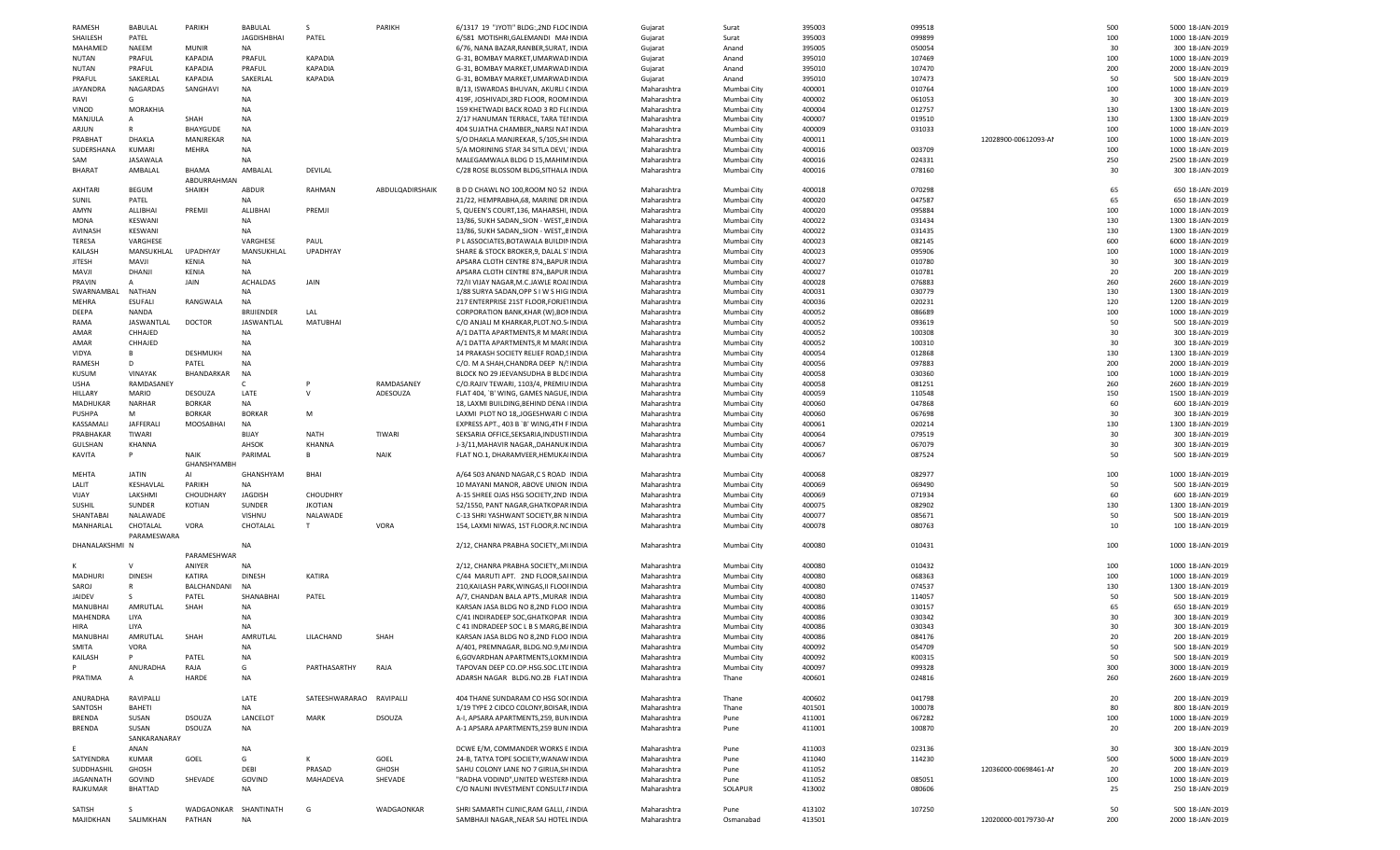| RAMESH           | <b>BABULAL</b> | PARIKH                | <b>BABULAL</b>     |                          | PARIKH          | 6/1317 19 "JYOTI" BLDG:, 2ND FLOC INDIA   | Gujarat     | Surat       | 395003 | 099518 |                      | 500 | 5000 18-JAN-2019 |
|------------------|----------------|-----------------------|--------------------|--------------------------|-----------------|-------------------------------------------|-------------|-------------|--------|--------|----------------------|-----|------------------|
| SHAILESH         | PATEL          |                       | <b>JAGDISHBHAI</b> | PATEL                    |                 | 6/581 MOTISHRI, GALEMANDI MAI INDIA       | Gujarat     | Surat       | 395003 | 099899 |                      | 100 | 1000 18-JAN-2019 |
| MAHAMED          | <b>NAEEM</b>   | <b>MUNIR</b>          | NA                 |                          |                 | 6/76, NANA BAZAR, RANBER, SURAT, INDIA    | Gujarat     | Anand       | 395005 | 050054 |                      | 30  | 300 18-JAN-2019  |
| <b>NUTAN</b>     | PRAFUL         | <b>KAPADIA</b>        | PRAFUL             | <b>KAPADIA</b>           |                 | G-31, BOMBAY MARKET, UMARWAD INDIA        | Gujarat     | Anand       | 395010 | 107469 |                      | 100 | 1000 18-JAN-2019 |
| <b>NUTAN</b>     | PRAFUL         | <b>KAPADIA</b>        | PRAFUL             | <b>KAPADIA</b>           |                 | G-31, BOMBAY MARKET, UMARWAD INDIA        | Gujarat     | Anand       | 395010 | 107470 |                      | 200 | 2000 18-JAN-2019 |
| PRAFUL           | SAKERLAL       | KAPADIA               | SAKERLAL           | <b>KAPADIA</b>           |                 | G-31, BOMBAY MARKET, UMARWAD INDIA        |             | Anand       | 395010 | 107473 |                      | 50  | 500 18-JAN-2019  |
|                  |                |                       |                    |                          |                 |                                           | Gujarat     |             |        |        |                      |     |                  |
| JAYANDRA         | NAGARDAS       | SANGHAVI              | NA                 |                          |                 | B/13, ISWARDAS BHUVAN, AKURLI (INDIA      | Maharashtra | Mumbai City | 400001 | 010764 |                      | 100 | 1000 18-JAN-2019 |
| RAVI             | G              |                       | NA.                |                          |                 | 419F, JOSHIVADI, 3RD FLOOR, ROON INDIA    | Maharashtra | Mumbai City | 400002 | 061053 |                      | 30  | 300 18-JAN-2019  |
| VINOD            | MORAKHIA       |                       | <b>NA</b>          |                          |                 | 159 KHETWADI BACK ROAD 3 RD FLI INDIA     | Maharashtra | Mumbai City | 400004 | 012757 |                      | 130 | 1300 18-JAN-2019 |
| MANJULA          | $\overline{A}$ | SHAH                  | NA                 |                          |                 | 2/17 HANUMAN TERRACE, TARA TEI INDIA      | Maharashtra | Mumbai City | 400007 | 019510 |                      | 130 | 1300 18-JAN-2019 |
| ARJUN            |                | BHAYGUDE              | NA                 |                          |                 | 404 SUJATHA CHAMBER,, NARSI NATINDIA      | Maharashtra | Mumbai City | 400009 | 031033 |                      | 100 | 1000 18-JAN-2019 |
| PRABHAT          | DHAKLA         | MANJREKAR             | <b>NA</b>          |                          |                 | S/O DHAKLA MANJREKAR, 5/105,SH INDIA      | Maharashtra | Mumbai City | 400011 |        | 12028900-00612093-AM | 100 | 1000 18-JAN-2019 |
| SUDERSHANA       | KUMARI         | MEHRA                 | NA                 |                          |                 | 5/A MORINING STAR 34 SITLA DEVI, INDIA    | Maharashtra | Mumbai City | 400016 | 003709 |                      | 100 | 1000 18-JAN-2019 |
| SAM              | JASAWALA       |                       | NA                 |                          |                 | MALEGAMWALA BLDG D 15, MAHIN INDIA        | Maharashtra | Mumbai City | 400016 | 024331 |                      | 250 | 2500 18-JAN-2019 |
|                  | AMBALAL        | BHAMA                 |                    |                          |                 |                                           |             |             |        | 078160 |                      | 30  |                  |
| BHARAT           |                |                       | AMBALAL            | DEVILAL                  |                 | C/28 ROSE BLOSSOM BLDG, SITHALA INDIA     | Maharashtra | Mumbai City | 400016 |        |                      |     | 300 18-JAN-2019  |
|                  |                | ABDURRAHMAN           |                    |                          |                 |                                           |             |             |        |        |                      |     |                  |
| AKHTARI          | <b>BEGUM</b>   | SHAIKH                | ABDUR              | RAHMAN                   | ABDULQADIRSHAIK | B D D CHAWL NO 100, ROOM NO 52 INDIA      | Maharashtra | Mumbai City | 400018 | 070298 |                      | 65  | 650 18-JAN-2019  |
| SUNIL            | PATEL          |                       | <b>NA</b>          |                          |                 | 21/22, HEMPRABHA, 68, MARINE DR INDIA     | Maharashtra | Mumbai City | 400020 | 047587 |                      | 65  | 650 18-JAN-2019  |
| AMYN             | ALLIBHAI       | PREMJI                | ALLIBHAI           | PREMJI                   |                 | 5, QUEEN'S COURT, 136, MAHARSHI, INDIA    | Maharashtra | Mumbai City | 400020 | 095884 |                      | 100 | 1000 18-JAN-2019 |
| MONA             | KESWANI        |                       | NA                 |                          |                 | 13/86, SUKH SADAN, SION - WEST, EINDIA    | Maharashtra | Mumbai City | 400022 | 031434 |                      | 130 | 1300 18-JAN-2019 |
| AVINASH          | KESWANI        |                       | NA                 |                          |                 | 13/86, SUKH SADAN,, SION - WEST,, EINDIA  | Maharashtra | Mumbai City | 400022 | 031435 |                      | 130 | 1300 18-JAN-2019 |
| TERESA           | VARGHESE       |                       | VARGHESE           | PAUL                     |                 | P L ASSOCIATES, BOTAWALA BUILDII INDIA    | Maharashtra | Mumbai City | 400023 | 082145 |                      | 600 | 6000 18-JAN-2019 |
| KAILASH          | MANSUKHLAL     | UPADHYAY              | MANSUKHLAL         | <b>UPADHYAY</b>          |                 | SHARE & STOCK BROKER, 9, DALAL S' INDIA   | Maharashtra | Mumbai City | 400023 | 095906 |                      | 100 | 1000 18-JAN-2019 |
|                  |                |                       |                    |                          |                 |                                           |             |             |        |        |                      |     |                  |
| <b>JITESH</b>    | MAVJI          | KENIA                 | <b>NA</b>          |                          |                 | APSARA CLOTH CENTRE 874,, BAPUR INDIA     | Maharashtra | Mumbai City | 400027 | 010780 |                      | 30  | 300 18-JAN-2019  |
| MAVJI            | DHANJI         | KENIA                 | <b>NA</b>          |                          |                 | APSARA CLOTH CENTRE 874,, BAPUR INDIA     | Maharashtra | Mumbai City | 400027 | 010781 |                      | 20  | 200 18-JAN-2019  |
| <b>PRAVIN</b>    | $\mathsf{A}$   | JAIN                  | <b>ACHALDAS</b>    | JAIN                     |                 | 72/II VIJAY NAGAR, M.C. JAWLE ROAI INDIA  | Maharashtra | Mumbai City | 400028 | 076883 |                      | 260 | 2600 18-JAN-2019 |
| SWARNAMBAL       | NATHAN         |                       | NA                 |                          |                 | 1/88 SURYA SADAN, OPP S I W S HIG INDIA   | Maharashtra | Mumbai City | 400031 | 030779 |                      | 130 | 1300 18-JAN-2019 |
| MEHRA            | <b>ESUFALI</b> | RANGWALA              | <b>NA</b>          |                          |                 | 217 ENTERPRISE 21ST FLOOR, FORJE' INDIA   | Maharashtra | Mumbai City | 400036 | 020231 |                      | 120 | 1200 18-JAN-2019 |
| DEEPA            | NANDA          |                       | <b>BRIJIENDER</b>  | LAL                      |                 | CORPORATION BANK, KHAR (W), BOI INDIA     | Maharashtra | Mumbai City | 400052 | 086689 |                      | 100 | 1000 18-JAN-2019 |
| RAMA             | JASWANTLAL     | <b>DOCTOR</b>         | JASWANTLAL         | MATUBHAI                 |                 | C/O ANJALI M KHARKAR, PLOT. NO.5 INDIA    | Maharashtra | Mumbai City | 400052 | 093619 |                      | 50  | 500 18-JAN-2019  |
| AMAR             | CHHAJED        |                       | NA.                |                          |                 |                                           |             |             | 400052 | 100308 |                      | 30  | 300 18-JAN-2019  |
|                  |                |                       |                    |                          |                 | A/1 DATTA APARTMENTS, R M MAR(INDIA       | Maharashtra | Mumbai City |        |        |                      |     |                  |
| AMAR             | CHHAJED        |                       | NA                 |                          |                 | A/1 DATTA APARTMENTS, R M MAR( INDIA      | Maharashtra | Mumbai City | 400052 | 100310 |                      | 30  | 300 18-JAN-2019  |
| VIDYA            | B.             | DESHMUKH              | <b>NA</b>          |                          |                 | 14 PRAKASH SOCIETY RELIEF ROAD, ! INDIA   | Maharashtra | Mumbai City | 400054 | 012868 |                      | 130 | 1300 18-JAN-2019 |
| RAMESH           | D              | PATEL                 | <b>NA</b>          |                          |                 | C/O. M A SHAH, CHANDRA DEEP N/! INDIA     | Maharashtra | Mumbai City | 400056 | 097883 |                      | 200 | 2000 18-JAN-2019 |
| <b>KUSUM</b>     | VINAYAK        | BHANDARKAR            | <b>NA</b>          |                          |                 | BLOCK NO 29 JEEVANSUDHA B BLDC INDIA      | Maharashtra | Mumbai City | 400058 | 030360 |                      | 100 | 1000 18-JAN-2019 |
| USHA             | RAMDASANEY     |                       |                    |                          | RAMDASANEY      | C/O.RAJIV TEWARI, 1103/4, PREMIU INDIA    | Maharashtra | Mumbai City | 400058 | 081251 |                      | 260 | 2600 18-JAN-2019 |
| HILLARY          | MARIO          | DESOUZA               | LATE               | v                        | ADESOUZA        | FLAT 404, `B' WING, GAMES NAGUE, INDIA    | Maharashtra | Mumbai City | 400059 | 110548 |                      | 150 | 1500 18-JAN-2019 |
| MADHUKAR         | NARHAR         | <b>BORKAR</b>         | NA                 |                          |                 | 18, LAXMI BUILDING, BEHIND DENA INDIA     | Maharashtra | Mumbai City | 400060 | 047868 |                      | 60  | 600 18-JAN-2019  |
|                  | M              | <b>BORKAR</b>         | <b>BORKAR</b>      | м                        |                 | LAXMI PLOT NO 18, JOGESHWARI C INDIA      |             |             | 400060 | 067698 |                      | 30  | 300 18-JAN-2019  |
| PUSHPA           |                |                       |                    |                          |                 |                                           | Maharashtra | Mumbai City |        |        |                      |     |                  |
| KASSAMALI        | JAFFERALI      | MOOSABHAI             | NA                 |                          |                 | EXPRESS APT., 403 B `B' WING, 4TH F INDIA | Maharashtra | Mumbai City | 400061 | 020214 |                      | 130 | 1300 18-JAN-2019 |
| PRABHAKAR        | TIWARI         |                       | BIJAY              | NATH                     | TIWARI          | SEKSARIA OFFICE, SEKSARIA, INDUSTI INDIA  | Maharashtra | Mumbai City | 400064 | 079519 |                      | 30  | 300 18-JAN-2019  |
| GULSHAN          | KHANNA         |                       | AHSOK              | KHANNA                   |                 | J-3/11, MAHAVIR NAGAR, , DAHANUK INDIA    | Maharashtra | Mumbai City | 400067 | 067079 |                      | 30  | 300 18-JAN-2019  |
| KAVITA           | P              | <b>NAIK</b>           | PARIMAL            | B                        | NAIK            | FLAT NO.1, DHARAMVEER, HEMUKA INDIA       | Maharashtra | Mumbai City | 400067 | 087524 |                      | 50  | 500 18-JAN-2019  |
|                  |                | GHANSHYAMBH           |                    |                          |                 |                                           |             |             |        |        |                      |     |                  |
| MEHTA            | JATIN          | AI                    | GHANSHYAM          | BHAI                     |                 | A/64 503 ANAND NAGAR,C S ROAD INDIA       | Maharashtra | Mumbai City | 400068 | 082977 |                      | 100 | 1000 18-JAN-2019 |
| LALIT            | KESHAVLAL      | PARIKH                | NA                 |                          |                 | 10 MAYANI MANOR, ABOVE UNION INDIA        | Maharashtra | Mumbai City | 400069 | 069490 |                      | 50  | 500 18-JAN-2019  |
| VIJAY            | LAKSHMI        | CHOUDHARY             | <b>JAGDISH</b>     | CHOUDHRY                 |                 | A-15 SHREE OJAS HSG SOCIETY, 2ND INDIA    | Maharashtra | Mumbai City | 400069 | 071934 |                      | 60  | 600 18-JAN-2019  |
|                  |                |                       |                    |                          |                 |                                           |             |             |        |        |                      |     |                  |
| <b>SUSHIL</b>    | SUNDER         | KOTIAN                | SUNDER             | <b>JKOTIAN</b>           |                 | 52/1550, PANT NAGAR, GHATKOPAR INDIA      | Maharashtra | Mumbai City | 400075 | 082902 |                      | 130 | 1300 18-JAN-2019 |
| SHANTABAI        | NALAWADE       |                       | VISHNU             | NALAWADE                 |                 | C-13 SHRI YASHWANT SOCIETY, BR N INDIA    | Maharashtra | Mumbai City | 400077 | 085671 |                      | 50  | 500 18-JAN-2019  |
| MANHARLAL        | CHOTALAL       | VORA                  | CHOTALAL           | T                        | VORA            | 154, LAXMI NIWAS, 1ST FLOOR, R.NC INDIA   | Maharashtra | Mumbai City | 400078 | 080763 |                      | 10  | 100 18-JAN-2019  |
|                  | PARAMESWARA    |                       |                    |                          |                 |                                           |             |             |        |        |                      |     |                  |
| DHANALAKSHMI N   |                |                       | NA                 |                          |                 | 2/12, CHANRA PRABHA SOCIETY,, MI INDIA    | Maharashtra | Mumbai City | 400080 | 010431 |                      | 100 | 1000 18-JAN-2019 |
|                  |                | PARAMESHWAR           |                    |                          |                 |                                           |             |             |        |        |                      |     |                  |
|                  | $\vee$         | ANIYER                | NA                 |                          |                 | 2/12, CHANRA PRABHA SOCIETY,, MI INDIA    | Maharashtra | Mumbai City | 400080 | 010432 |                      | 100 | 1000 18-JAN-2019 |
| MADHURI          | <b>DINESH</b>  | KATIRA                | <b>DINESH</b>      | KATIRA                   |                 | C/44 MARUTI APT. 2ND FLOOR, SAI INDIA     | Maharashtra | Mumbai City | 400080 | 068363 |                      | 100 | 1000 18-JAN-2019 |
| SAROJ            | $\mathbb{R}$   | BALCHANDANI           | <b>NA</b>          |                          |                 | 210, KAILASH PARK, WINGAS, II FLOOI INDIA | Maharashtra |             | 400080 | 074537 |                      | 130 | 1300 18-JAN-2019 |
|                  |                |                       |                    |                          |                 |                                           |             | Mumbai City |        |        |                      |     |                  |
| JAIDEV           | -S             | PATEL                 | SHANABHAI          | PATEL                    |                 | A/7, CHANDAN BALA APTS., MURAR INDIA      | Maharashtra | Mumbai City | 400080 | 114057 |                      | 50  | 500 18-JAN-2019  |
| MANUBHAI         | AMRUTLAL       | SHAH                  | NA                 |                          |                 | KARSAN JASA BLDG NO 8,2ND FLOO INDIA      | Maharashtra | Mumbai City | 400086 | 030157 |                      | 65  | 650 18-JAN-2019  |
| MAHENDRA         | LIYA           |                       | NA                 |                          |                 | C/41 INDIRADEEP SOC, GHATKOPAR INDIA      | Maharashtra | Mumbai City | 400086 | 030342 |                      | 30  | 300 18-JAN-2019  |
| HIRA             | LIYA           |                       | <b>NA</b>          |                          |                 | C 41 INDRADEEP SOC L B S MARG, BE INDIA   | Maharashtra | Mumbai City | 400086 | 030343 |                      | 30  | 300 18-JAN-2019  |
| MANUBHAI         | AMRUTLAL       | SHAH                  | AMRUTLAL           | LILACHAND                | SHAH            | KARSAN JASA BLDG NO 8,2ND FLOO INDIA      | Maharashtra | Mumbai City | 400086 | 084176 |                      | 20  | 200 18-JAN-2019  |
| <b>SMITA</b>     | VORA           |                       | NA                 |                          |                 | A/401, PREMNAGAR, BLDG.NO.9,M, INDIA      | Maharashtra | Mumbai City | 400092 | 054709 |                      | 50  | 500 18-JAN-2019  |
| KAILASH          | P              | PATEL                 | <b>NA</b>          |                          |                 | 6, GOVARDHAN APARTMENTS, LOKM INDIA       | Maharashtra | Mumbai City | 400092 | K00315 |                      | 50  | 500 18-JAN-2019  |
| D                |                |                       |                    |                          |                 |                                           |             |             |        |        |                      |     |                  |
|                  | ANURADHA       | RAJA                  | G                  | PARTHASARTHY             | RAJA            | TAPOVAN DEEP CO.OP.HSG.SOC.LTI INDIA      | Maharashtra | Mumbai City | 400097 | 099328 |                      | 300 | 3000 18-JAN-2019 |
| PRATIMA          | $\mathsf{A}$   | HARDE                 | <b>NA</b>          |                          |                 | ADARSH NAGAR BLDG.NO.2B FLATINDIA         | Maharashtra | Thane       | 400601 | 024816 |                      | 260 | 2600 18-JAN-2019 |
|                  |                |                       |                    |                          |                 |                                           |             |             |        |        |                      |     |                  |
| ANURADHA         | RAVIPALLI      |                       | LATE               | SATEESHWARARAO RAVIPALLI |                 | 404 THANE SUNDARAM CO HSG SO( INDIA       | Maharashtra | Thane       | 400602 | 041798 |                      | 20  | 200 18-JAN-2019  |
| SANTOSH          | BAHETI         |                       | <b>NA</b>          |                          |                 | 1/19 TYPE 2 CIDCO COLONY, BOISAR INDIA    | Maharashtra | Thane       | 401501 | 100078 |                      | 80  | 800 18-JAN-2019  |
| <b>BRENDA</b>    | SUSAN          | DSOUZA                | LANCELOT           | MARK                     | DSOUZA          | A-I, APSARA APARTMENTS, 259, BUN INDIA    | Maharashtra | Pune        | 411001 | 067282 |                      | 100 | 1000 18-JAN-2019 |
| <b>BRENDA</b>    | SUSAN          | DSOUZA                | <b>NA</b>          |                          |                 | A-1 APSARA APARTMENTS, 259 BUN INDIA      | Maharashtra | Pune        | 411001 | 100870 |                      | 20  | 200 18-JAN-2019  |
|                  | SANKARANARAY   |                       |                    |                          |                 |                                           |             |             |        |        |                      |     |                  |
| F.               |                |                       |                    |                          |                 |                                           |             |             | 411003 |        |                      |     | 300 18-JAN-2019  |
|                  | ANAN           |                       | <b>NA</b>          |                          |                 | DCWE E/M, COMMANDER WORKS E INDIA         | Maharashtra | Pune        |        | 023136 |                      | 30  |                  |
| SATYENDRA        | KUMAR          | GOEL                  | G                  | к                        | GOEL            | 24-B, TATYA TOPE SOCIETY, WANAW INDIA     | Maharashtra | Pune        | 411040 | 114230 |                      | 500 | 5000 18-JAN-2019 |
| SUDDHASHIL       | GHOSH          |                       | DEBI               | PRASAD                   | GHOSH           | SAHU COLONY LANE NO 7 GIRIJA, SH INDIA    | Maharashtra | Pune        | 411052 |        | 12036000-00698461-AI | 20  | 200 18-JAN-2019  |
| <b>JAGANNATH</b> | GOVIND         | SHEVADE               | GOVIND             | MAHADEVA                 | SHEVADE         | "RADHA VODIND", UNITED WESTERN INDIA      | Maharashtra | Pune        | 411052 | 085051 |                      | 100 | 1000 18-JAN-2019 |
| RAJKUMAR         | <b>BHATTAD</b> |                       | NA                 |                          |                 | C/O NALINI INVESTMENT CONSULT/ INDIA      | Maharashtra | SOLAPUR     | 413002 | 080606 |                      | 25  | 250 18-JAN-2019  |
|                  |                |                       |                    |                          |                 |                                           |             |             |        |        |                      |     |                  |
| SATISH           | S              | WADGAONKAR SHANTINATH |                    | G                        | WADGAONKAR      | SHRI SAMARTH CLINIC, RAM GALLI, / INDIA   | Maharashtra | Pune        | 413102 | 107250 |                      | 50  | 500 18-JAN-2019  |
|                  | SALIMKHAN      | PATHAN                | <b>NA</b>          |                          |                 | SAMBHAJI NAGAR,, NEAR SAJ HOTEL INDIA     | Maharashtra | Osmanabad   | 413501 |        | 12020000-00179730-AI | 200 | 2000 18-JAN-2019 |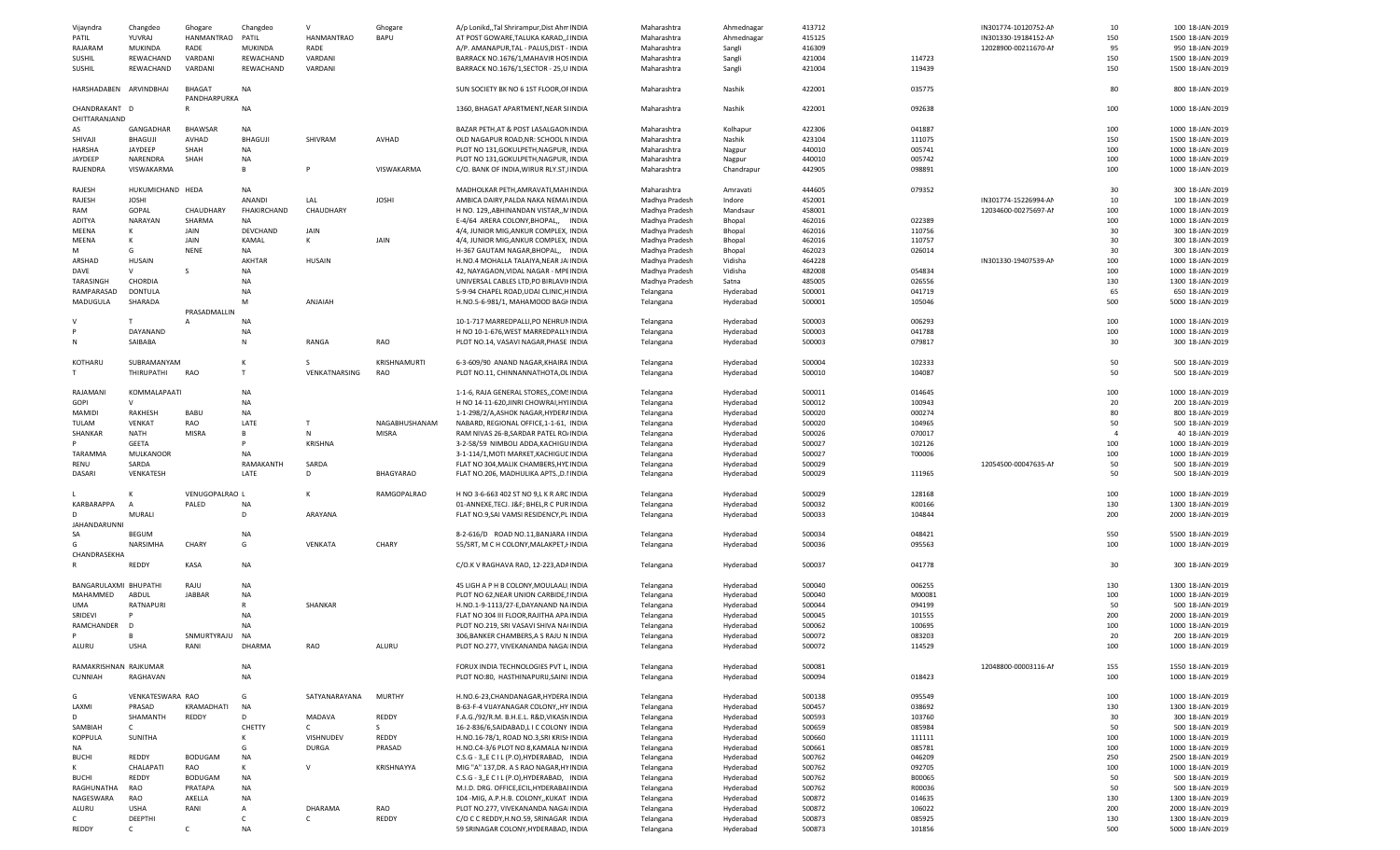| Vijayndra              | Changdeo                | Ghogare        | Changdeo       | $\mathsf{v}$  | Ghogare       | A/p Lonikd,,Tal Shrirampur,Dist Ahn INDIA                                      | Maharashtra            | Ahmednagar             | 413712           |                  | IN301774-10120752-AM | 10             | 100 18-JAN-2019                      |
|------------------------|-------------------------|----------------|----------------|---------------|---------------|--------------------------------------------------------------------------------|------------------------|------------------------|------------------|------------------|----------------------|----------------|--------------------------------------|
|                        |                         |                |                |               | <b>BAPU</b>   |                                                                                |                        | Ahmednagar             | 415125           |                  |                      | 150            | 1500 18-JAN-2019                     |
| PATIL                  | YUVRAJ                  | HANMANTRAO     | PATIL          | HANMANTRAO    |               | AT POST GOWARE, TALUKA KARAD,, I INDIA                                         | Maharashtra            |                        |                  |                  | IN301330-19184152-AM |                |                                      |
| RAJARAM                | MUKINDA                 | RADE           | <b>MUKINDA</b> | RADE          |               | A/P. AMANAPUR, TAL - PALUS, DIST - INDIA                                       | Maharashtra            | Sangli                 | 416309           |                  | 12028900-00211670-AM | 95             | 950 18-JAN-2019                      |
| <b>SUSHIL</b>          | REWACHAND               | VARDANI        | REWACHAND      | VARDANI       |               | BARRACK NO.1676/1, MAHAVIR HOS INDIA                                           | Maharashtra            | Sangli                 | 421004           | 114723           |                      | 150            | 1500 18-JAN-2019                     |
| <b>SUSHIL</b>          | REWACHAND               | VARDANI        | REWACHAND      | VARDANI       |               | BARRACK NO.1676/1, SECTOR - 25, U INDIA                                        | Maharashtra            | Sangli                 | 421004           | 119439           |                      | 150            | 1500 18-JAN-2019                     |
|                        |                         |                |                |               |               |                                                                                |                        |                        |                  |                  |                      |                |                                      |
| HARSHADABEN ARVINDBHAI |                         | BHAGAT         | NA             |               |               | SUN SOCIETY BK NO 6 1ST FLOOR, OF INDIA                                        | Maharashtra            | Nashik                 | 422001           | 035775           |                      | 80             | 800 18-JAN-2019                      |
|                        |                         | PANDHARPURKA   |                |               |               |                                                                                |                        |                        |                  |                  |                      |                |                                      |
| CHANDRAKANT D          |                         | $\mathsf{R}$   | NA             |               |               | 1360, BHAGAT APARTMENT, NEAR S INDIA                                           | Maharashtra            | Nashik                 | 422001           | 092638           |                      | 100            | 1000 18-JAN-2019                     |
|                        |                         |                |                |               |               |                                                                                |                        |                        |                  |                  |                      |                |                                      |
| CHITTARANJAND          |                         |                |                |               |               |                                                                                |                        |                        |                  |                  |                      |                |                                      |
| AS                     | GANGADHAR               | <b>BHAWSAR</b> | NA             |               |               | BAZAR PETH, AT & POST LASALGAON INDIA                                          | Maharashtra            | Kolhapur               | 422306           | 041887           |                      | 100            | 1000 18-JAN-2019                     |
| SHIVAJI                | BHAGUJI                 | AVHAD          | <b>BHAGUJI</b> | SHIVRAM       | AVHAD         | OLD NAGAPUR ROAD, NR: SCHOOL N INDIA                                           | Maharashtra            | Nashik                 | 423104           | 111075           |                      | 150            | 1500 18-JAN-2019                     |
| HARSHA                 | JAYDEEP                 | SHAH           | NA             |               |               | PLOT NO 131, GOKULPETH, NAGPUR, INDIA                                          | Maharashtra            | Nagpur                 | 440010           | 005741           |                      | 100            | 1000 18-JAN-2019                     |
| <b>JAYDEEP</b>         | NARENDRA                | SHAH           | NA             |               |               | PLOT NO 131, GOKULPETH, NAGPUR, INDIA                                          | Maharashtra            | Nagpur                 | 440010           | 005742           |                      | 100            | 1000 18-JAN-2019                     |
|                        | VISWAKARMA              |                | B              | P             | VISWAKARMA    |                                                                                |                        |                        |                  |                  |                      | 100            |                                      |
| RAJENDRA               |                         |                |                |               |               | C/O. BANK OF INDIA, WIRUR RLY.ST, INDIA                                        | Maharashtra            | Chandrapur             | 442905           | 098891           |                      |                | 1000 18-JAN-2019                     |
|                        |                         |                |                |               |               |                                                                                |                        |                        |                  |                  |                      |                |                                      |
| RAJESH                 | HUKUMICHAND HEDA        |                | NA             |               |               | MADHOLKAR PETH, AMRAVATI, MAH INDIA                                            | Maharashtra            | Amravati               | 444605           | 079352           |                      | 30             | 300 18-JAN-2019                      |
| RAJESH                 | <b>JOSHI</b>            |                | ANANDI         | LAL           | <b>JOSHI</b>  | AMBICA DAIRY, PALDA NAKA NEMAI INDIA                                           | Madhya Pradesh         | Indore                 | 452001           |                  | IN301774-15226994-AM | 10             | 100 18-JAN-2019                      |
| RAM                    | GOPAL                   | CHAUDHARY      | FHAKIRCHAND    | CHAUDHARY     |               | H NO. 129, ABHINANDAN VISTAR, N INDIA                                          | Madhya Pradesh         | Mandsaur               | 458001           |                  | 12034600-00275697-AM | 100            | 1000 18-JAN-2019                     |
| ADITYA                 | NARAYAN                 | SHARMA         | NA             |               |               | E-4/64 ARERA COLONY, BHOPAL,, INDIA                                            | Madhya Pradesh         | Bhopal                 | 462016           | 022389           |                      | 100            | 1000 18-JAN-2019                     |
|                        | к                       |                |                |               |               |                                                                                |                        |                        |                  |                  |                      |                |                                      |
| MEENA                  |                         | JAIN           | DEVCHAND       | JAIN          |               | 4/4, JUNIOR MIG, ANKUR COMPLEX, INDIA                                          | Madhya Pradesh         | Bhopal                 | 462016           | 110756           |                      | 30             | 300 18-JAN-2019                      |
| MEENA                  | К                       | JAIN           | KAMAL          | K             | JAIN          | 4/4, JUNIOR MIG, ANKUR COMPLEX, INDIA                                          | Madhya Pradesh         | Bhopal                 | 462016           | 110757           |                      | 30             | 300 18-JAN-2019                      |
| м                      | G                       | <b>NENE</b>    | NA             |               |               | H-367 GAUTAM NAGAR, BHOPAL,, INDIA                                             | Madhya Pradesh         | Bhopal                 | 462023           | 026014           |                      | 30             | 300 18-JAN-2019                      |
| ARSHAD                 | HUSAIN                  |                | AKHTAR         | <b>HUSAIN</b> |               | H.NO.4 MOHALLA TALAIYA, NEAR JA INDIA                                          | Madhya Pradesh         | Vidisha                | 464228           |                  | IN301330-19407539-AM | 100            | 1000 18-JAN-2019                     |
| DAVE                   | $\vee$                  | -S             | NA             |               |               | 42, NAYAGAON, VIDAL NAGAR - MPI INDIA                                          | Madhya Pradesh         | Vidisha                | 482008           | 054834           |                      | 100            | 1000 18-JAN-2019                     |
|                        |                         |                |                |               |               |                                                                                |                        |                        |                  |                  |                      |                |                                      |
| TARASINGH              | CHORDIA                 |                | NA             |               |               | UNIVERSAL CABLES LTD, PO BIRLAVII INDIA                                        | Madhya Pradesh         | Satna                  | 485005           | 026556           |                      | 130            | 1300 18-JAN-2019                     |
| RAMPARASAD             | <b>DONTULA</b>          |                | NA             |               |               | 5-9-94 CHAPEL ROAD, UDAI CLINIC, HINDIA                                        | Telangana              | Hyderabad              | 500001           | 041719           |                      | 65             | 650 18-JAN-2019                      |
| MADUGULA               | SHARADA                 |                | M              | ANJAIAH       |               | H.NO.5-6-981/1, MAHAMOOD BAGI INDIA                                            | Telangana              | Hyderabad              | 500001           | 105046           |                      | 500            | 5000 18-JAN-2019                     |
|                        |                         | PRASADMALLIN   |                |               |               |                                                                                |                        |                        |                  |                  |                      |                |                                      |
|                        | T                       | A              | NA.            |               |               | 10-1-717 MARREDPALLI, PO NEHRUI INDIA                                          | Telangana              | Hyderabad              | 500003           | 006293           |                      | 100            | 1000 18-JAN-2019                     |
|                        |                         |                |                |               |               |                                                                                |                        |                        |                  |                  |                      |                |                                      |
|                        | DAYANAND                |                | NA.            |               |               | H NO 10-1-676, WEST MARREDPALL\ INDIA                                          | Telangana              | Hyderabad              | 500003           | 041788           |                      | 100            | 1000 18-JAN-2019                     |
| N                      | SAIBABA                 |                | N              | RANGA         | RAO           | PLOT NO.14, VASAVI NAGAR, PHASE INDIA                                          | Telangana              | Hyderabad              | 500003           | 079817           |                      | 30             | 300 18-JAN-2019                      |
|                        |                         |                |                |               |               |                                                                                |                        |                        |                  |                  |                      |                |                                      |
| KOTHARU                | SUBRAMANYAM             |                | К              |               | KRISHNAMURTI  | 6-3-609/90 ANAND NAGAR, KHAIRA INDIA                                           | Telangana              | Hyderabad              | 500004           | 102333           |                      | 50             | 500 18-JAN-2019                      |
|                        |                         |                | T              |               |               |                                                                                |                        |                        |                  |                  |                      |                |                                      |
|                        | THIRUPATHI              | RAO            |                | VENKATNARSING | RAO           | PLOT NO.11, CHINNANNATHOTA, OL INDIA                                           | Telangana              | Hyderabad              | 500010           | 104087           |                      | 50             | 500 18-JAN-2019                      |
|                        |                         |                |                |               |               |                                                                                |                        |                        |                  |                  |                      |                |                                      |
| RAJAMANI               | KOMMALAPAATI            |                | NA             |               |               | 1-1-6, RAJA GENERAL STORES, COM: INDIA                                         | Telangana              | Hyderabad              | 500011           | 014645           |                      | 100            | 1000 18-JAN-2019                     |
| <b>GOPI</b>            | $\vee$                  |                | NA             |               |               | H NO 14-11-620, JINRI CHOWRAI, HYI INDIA                                       | Telangana              | Hyderabad              | 500012           | 100943           |                      | 20             | 200 18-JAN-2019                      |
| MAMIDI                 | RAKHESH                 | BABU           | NA             |               |               | 1-1-298/2/A, ASHOK NAGAR, HYDER/ INDIA                                         | Telangana              | Hyderabad              | 500020           | 000274           |                      | 80             | 800 18-JAN-2019                      |
|                        |                         |                |                |               |               |                                                                                |                        |                        |                  |                  |                      |                |                                      |
| TULAM                  | VENKAT                  | RAO            | LATE           |               | NAGABHUSHANAM | NABARD, REGIONAL OFFICE, 1-1-61, INDIA                                         | Telangana              | Hyderabad              | 500020           | 104965           |                      | 50             | 500 18-JAN-2019                      |
| SHANKAR                | <b>NATH</b>             | MISRA          | В              | Ν             | MISRA         | RAM NIVAS 26-B, SARDAR PATEL RO. INDIA                                         | Telangana              | Hyderabad              | 500026           | 070017           |                      | $\overline{4}$ | 40 18-JAN-2019                       |
|                        | GEETA                   |                | P              | KRISHNA       |               | 3-2-58/59 NIMBOLI ADDA, KACHIGU INDIA                                          | Telangana              | Hyderabad              | 500027           | 102126           |                      | 100            | 1000 18-JAN-2019                     |
| TARAMMA                | <b>MULKANOOR</b>        |                | <b>NA</b>      |               |               | 3-1-114/1, MOTI MARKET, KACHIGUE INDIA                                         | Telangana              | Hyderabad              | 500027           | T00006           |                      | 100            | 1000 18-JAN-2019                     |
|                        |                         |                |                |               |               |                                                                                |                        |                        |                  |                  |                      |                |                                      |
|                        |                         |                |                |               |               |                                                                                |                        |                        |                  |                  |                      |                |                                      |
| RENU                   | SARDA                   |                | RAMAKANTH      | SARDA         |               | FLAT NO 304, MALIK CHAMBERS, HYE INDIA                                         | Telangana              | Hyderabad              | 500029           |                  | 12054500-00047635-AI | 50             | 500 18-JAN-2019                      |
| DASARI                 | VENKATESH               |                | LATE           | D             | BHAGYARAO     | FLAT NO.206, MADHULIKA APTS., D.I INDIA                                        | Telangana              | Hyderabad              | 500029           | 111965           |                      | 50             | 500 18-JAN-2019                      |
|                        |                         |                |                |               |               |                                                                                |                        |                        |                  |                  |                      |                |                                      |
|                        | к                       | VENUGOPALRAO L |                | К             | RAMGOPALRAO   | H NO 3-6-663 402 ST NO 9,L K R ARC INDIA                                       | Telangana              | Hyderabad              | 500029           | 128168           |                      | 100            | 1000 18-JAN-2019                     |
| <b>KARBARAPPA</b>      | $\overline{A}$          | PALED          | NA.            |               |               | 01-ANNEXE, TECJ. J&F BHEL, R C PUR INDIA                                       | Telangana              | Hyderabad              | 500032           | K00166           |                      | 130            | 1300 18-JAN-2019                     |
| D.                     |                         |                | D              |               |               |                                                                                |                        |                        |                  |                  |                      |                |                                      |
|                        | MURALI                  |                |                | ARAYANA       |               | FLAT NO.9, SAI VAMSI RESIDENCY, PL INDIA                                       | Telangana              | Hyderabad              | 500033           | 104844           |                      | 200            | 2000 18-JAN-2019                     |
| <b>JAHANDARUNNI</b>    |                         |                |                |               |               |                                                                                |                        |                        |                  |                  |                      |                |                                      |
| SA                     | <b>BEGUM</b>            |                | NA             |               |               | 8-2-616/D ROAD NO.11, BANJARA   INDIA                                          | Telangana              | Hyderabad              | 500034           | 048421           |                      | 550            | 5500 18-JAN-2019                     |
| G                      | NARSIMHA                | CHARY          | G              | VENKATA       | CHARY         | 55/SRT, M C H COLONY, MALAKPET, HNDIA                                          | Telangana              | Hyderabad              | 500036           | 095563           |                      | 100            | 1000 18-JAN-2019                     |
| CHANDRASEKHA           |                         |                |                |               |               |                                                                                |                        |                        |                  |                  |                      |                |                                      |
|                        | REDDY                   | KASA           | NA             |               |               | C/O.K V RAGHAVA RAO, 12-223, ADA INDIA                                         |                        |                        | 500037           | 041778           |                      | 30             | 300 18-JAN-2019                      |
|                        |                         |                |                |               |               |                                                                                | Telangana              | Hyderabad              |                  |                  |                      |                |                                      |
|                        |                         |                |                |               |               |                                                                                |                        |                        |                  |                  |                      |                |                                      |
| BANGARULAXMI BHUPATHI  |                         | RAJU           | NA             |               |               | 45 LIGH A P H B COLONY, MOULAALI INDIA                                         | Telangana              | Hyderabad              | 500040           | 006255           |                      | 130            | 1300 18-JAN-2019                     |
| MAHAMMED               | ABDUL                   | <b>JABBAR</b>  | <b>NA</b>      |               |               | PLOT NO 62, NEAR UNION CARBIDE, I INDIA                                        | Telangana              | Hyderabad              | 500040           | M00081           |                      | 100            | 1000 18-JAN-2019                     |
| UMA                    | RATNAPURI               |                | $\mathsf{R}$   | SHANKAR       |               | H.NO.1-9-1113/27-E, DAYANAND NA INDIA                                          | Telangana              | Hyderabad              | 500044           | 094199           |                      | 50             | 500 18-JAN-2019                      |
| SRIDEVI                |                         |                | NA             |               |               | FLAT NO 304 III FLOOR, RAJITHA APA INDIA                                       |                        |                        | 500045           | 101555           |                      | 200            | 2000 18-JAN-2019                     |
|                        |                         |                |                |               |               |                                                                                | Telangana              | Hyderabad              |                  |                  |                      |                |                                      |
| RAMCHANDER             | D                       |                | NA             |               |               | PLOT NO.219, SRI VASAVI SHIVA NA INDIA                                         | Telangana              | Hyderabad              | 500062           | 100695           |                      | 100            | 1000 18-JAN-2019                     |
|                        | R                       | SNMURTYRAJU    | NA             |               |               | 306, BANKER CHAMBERS, A S RAJU N INDIA                                         | Telangana              | Hyderabad              | 500072           | 083203           |                      | 20             | 200 18-JAN-2019                      |
| ALURU                  |                         |                | DHARM.         |               | ALURL         | PLOT NO.277, VIVEKANANDA NAGA INDIA                                            | Telangana              | Hyderabad              | 500072           | 114529           |                      | 100            | 1000 18-JAN-2019                     |
|                        |                         |                |                |               |               |                                                                                |                        |                        |                  |                  |                      |                |                                      |
| RAMAKRISHNAN RAJKUMAR  |                         |                | NA             |               |               | FORUX INDIA TECHNOLOGIES PVT L. INDIA                                          |                        |                        | 500081           |                  | 12048800-00003116-AM | 155            | 1550 18-JAN-2019                     |
|                        |                         |                |                |               |               |                                                                                | Telangana              | Hyderabad              |                  |                  |                      |                |                                      |
| CUNNIAH                | RAGHAVAN                |                | NA             |               |               | PLOT NO:80, HASTHINAPURIJ, SAINI INDIA                                         | Telangana              | Hyderabad              | 500094           | 018423           |                      | 100            | 1000 18-JAN-2019                     |
|                        |                         |                |                |               |               |                                                                                |                        |                        |                  |                  |                      |                |                                      |
| G                      | VENKATESWARA RAO        |                | G              | SATYANARAYANA | <b>MURTHY</b> | H.NO.6-23,CHANDANAGAR,HYDERA INDIA                                             | Telangana              | Hyderabad              | 500138           | 095549           |                      | 100            | 1000 18-JAN-2019                     |
| LAXMI                  | PRASAD                  | KRAMADHATI     | NA             |               |               | B-63-F-4 VIJAYANAGAR COLONY,, HY INDIA                                         | Telangana              | Hyderabad              | 500457           | 038692           |                      | 130            | 1300 18-JAN-2019                     |
| D                      | SHAMANTH                | REDDY          | D              | MADAVA        | REDDY         | F.A.G./92/R.M. B.H.E.L. R&D, VIKASN INDIA                                      |                        |                        | 500593           | 103760           |                      | 30             | 300 18-JAN-2019                      |
|                        |                         |                |                |               |               |                                                                                | Telangana              | Hyderabad              |                  |                  |                      |                |                                      |
| SAMBIAH                | C                       |                | CHETTY         | $\mathsf{C}$  | S             | 16-2-836/6, SAIDABAD, LIC COLONY INDIA                                         | Telangana              | Hyderabad              | 500659           | 085984           |                      | 50             | 500 18-JAN-2019                      |
| KOPPULA                | SUNITHA                 |                | к              | VISHNUDEV     | REDDY         | H.NO.16-78/1, ROAD NO.3, SRI KRISH INDIA                                       | Telangana              | Hyderabad              | 500660           | 111111           |                      | 100            | 1000 18-JAN-2019                     |
| NA                     |                         |                | G              | DURGA         | PRASAD        | H.NO.C4-3/6 PLOT NO 8, KAMALA N/ INDIA                                         | Telangana              | Hyderabad              | 500661           | 085781           |                      | 100            | 1000 18-JAN-2019                     |
| <b>BUCHI</b>           | REDDY                   | BODUGAM        | NA             |               |               | C.S.G - 3,,E C I L (P.O), HYDERABAD, INDIA                                     | Telangana              | Hyderabad              | 500762           | 046209           |                      | 250            | 2500 18-JAN-2019                     |
| ĸ                      | CHALAPATI               | RAO            | к              | $\mathsf{V}$  | KRISHNAYYA    |                                                                                |                        |                        | 500762           | 092705           |                      |                | 1000 18-JAN-2019                     |
|                        |                         |                |                |               |               | MIG "A" 137, DR. A S RAO NAGAR, HY INDIA                                       | Telangana              | Hyderabad              |                  |                  |                      | 100            |                                      |
| <b>BUCHI</b>           | <b>REDDY</b>            | <b>BODUGAM</b> | NA             |               |               | C.S.G - 3, E C I L (P.O), HYDERABAD, INDIA                                     | Telangana              | Hyderabad              | 500762           | B00065           |                      | 50             | 500 18-JAN-2019                      |
| RAGHUNATHA             | RAO                     | PRATAPA        | NA             |               |               | M.I.D. DRG. OFFICE, ECIL, HYDERABAI INDIA                                      | Telangana              | Hyderabad              | 500762           | R00036           |                      | 50             | 500 18-JAN-2019                      |
| NAGESWARA              | RAO                     | AKELLA         | NA             |               |               | 104 - MIG, A.P.H.B. COLONY,, KUKAT INDIA                                       | Telangana              | Hyderabad              | 500872           | 014635           |                      | 130            | 1300 18-JAN-2019                     |
| ALURU                  | <b>USHA</b>             | RANI           | А              | DHARAMA       | RAO           | PLOT NO.277, VIVEKANANDA NAGA INDIA                                            | Telangana              | Hyderabad              | 500872           | 106022           |                      | 200            | 2000 18-JAN-2019                     |
|                        |                         |                |                |               |               |                                                                                |                        |                        |                  |                  |                      |                |                                      |
| C.<br>REDDY            | DEEPTHI<br>$\mathsf{C}$ | $\mathsf{C}$   | C<br>NA        | $\mathsf{C}$  | REDDY         | C/O C C REDDY, H.NO.59, SRINAGAR INDIA<br>59 SRINAGAR COLONY, HYDERABAD, INDIA | Telangana<br>Telangana | Hyderabad<br>Hyderabad | 500873<br>500873 | 085925<br>101856 |                      | 130<br>500     | 1300 18-JAN-2019<br>5000 18-JAN-2019 |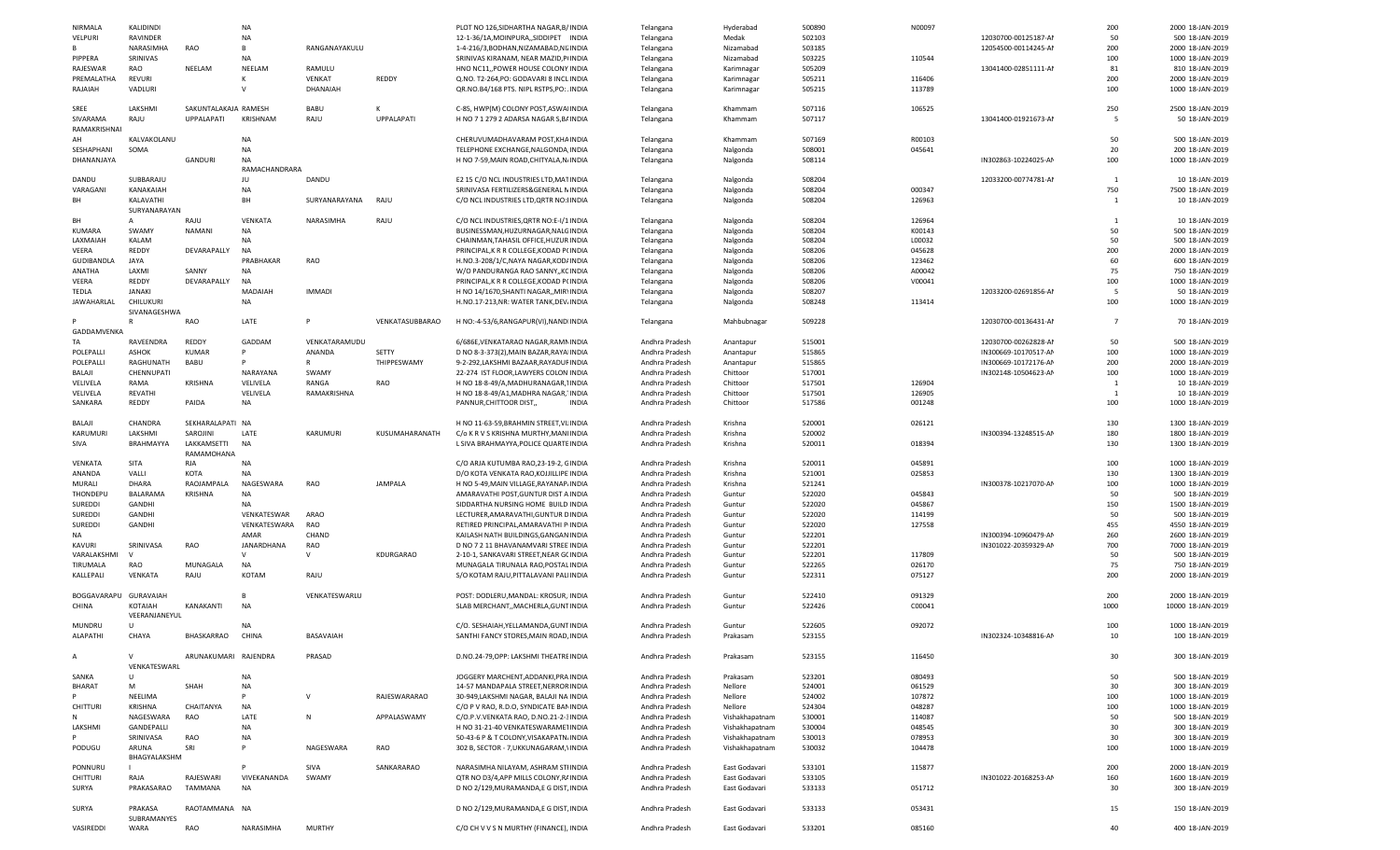|                   |                     |                      | <b>NA</b>      |               |                   |                                          |                |                |        |        |                      |                |                   |
|-------------------|---------------------|----------------------|----------------|---------------|-------------------|------------------------------------------|----------------|----------------|--------|--------|----------------------|----------------|-------------------|
| NIRMALA           | KALIDINDI           |                      |                |               |                   | PLOT NO 126, SIDHARTHA NAGAR, B/ INDIA   | Telangana      | Hyderabad      | 500890 | N00097 |                      | 200            | 2000 18-JAN-2019  |
| VELPURI           | RAVINDER            |                      | NA             |               |                   | 12-1-36/1A, MOINPURA, , SIDDIPET INDIA   | Telangana      | Medak          | 502103 |        | 12030700-00125187-AI | 50             | 500 18-JAN-2019   |
|                   | NARASIMHA           | RAO                  | B              | RANGANAYAKULU |                   | 1-4-216/3, BODHAN, NIZAMABAD, NI. INDIA  | Telangana      | Nizamabad      | 503185 |        | 12054500-00114245-AI | 200            | 2000 18-JAN-2019  |
|                   |                     |                      |                |               |                   |                                          |                |                |        |        |                      |                |                   |
| PIPPERA           | SRINIVAS            |                      | NA             |               |                   | SRINIVAS KIRANAM, NEAR MAZID, PINDIA     | Telangana      | Nizamabad      | 503225 | 110544 |                      | 100            | 1000 18-JAN-2019  |
| RAJESWAR          | RAO                 | NEELAM               | NEELAM         | RAMULU        |                   | HNO NC11, POWER HOUSE COLONY INDIA       | Telangana      | Karimnagar     | 505209 |        | 13041400-02851111-AM | 81             | 810 18-JAN-2019   |
| PREMALATHA        | <b>REVURI</b>       |                      |                | VENKAT        | REDDY             | Q.NO. T2-264, PO: GODAVARI 8 INCL INDIA  | Telangana      | Karimnagar     | 505211 | 116406 |                      | 200            | 2000 18-JAN-2019  |
|                   |                     |                      |                |               |                   |                                          |                |                |        |        |                      |                |                   |
| RAJAIAH           | VADLURI             |                      | $\vee$         | DHANAIAH      |                   | QR.NO.B4/168 PTS. NIPL RSTPS, PO: INDIA  | Telangana      | Karimnagar     | 505215 | 113789 |                      | 100            | 1000 18-JAN-2019  |
|                   |                     |                      |                |               |                   |                                          |                |                |        |        |                      |                |                   |
| SREE              | LAKSHMI             | SAKUNTALAKAJA RAMESH |                | BABU          |                   | C-85, HWP(M) COLONY POST, ASWA INDIA     | Telangana      | Khammam        | 507116 | 106525 |                      | 250            | 2500 18-JAN-2019  |
|                   |                     | UPPALAPATI           | KRISHNAM       | RAJU          | <b>UPPALAPATI</b> |                                          |                |                |        |        | 13041400-01921673-AI | -5             | 50 18-JAN-2019    |
| SIVARAMA          | RAJU                |                      |                |               |                   | H NO 7 1 279 2 ADARSA NAGAR S, B/ INDIA  | Telangana      | Khammam        | 507117 |        |                      |                |                   |
| RAMAKRISHNA       |                     |                      |                |               |                   |                                          |                |                |        |        |                      |                |                   |
| AН                | KALVAKOLANU         |                      | NA             |               |                   | CHERUVUMADHAVARAM POST, KHA INDIA        | Telangana      | Khammam        | 507169 | R00103 |                      | 50             | 500 18-JAN-2019   |
|                   |                     |                      |                |               |                   |                                          |                |                |        |        |                      |                |                   |
| SESHAPHANI        | SOMA                |                      | NA             |               |                   | TELEPHONE EXCHANGE, NALGONDA INDIA       | Telangana      | Nalgonda       | 508001 | 045641 |                      | 20             | 200 18-JAN-2019   |
| DHANANJAYA        |                     | GANDURI              | NA             |               |                   | H NO 7-59, MAIN ROAD, CHITYALA, N. INDIA | Telangana      | Nalgonda       | 508114 |        | IN302863-10224025-AM | 100            | 1000 18-JAN-2019  |
|                   |                     |                      | RAMACHANDRARA  |               |                   |                                          |                |                |        |        |                      |                |                   |
|                   |                     |                      |                |               |                   |                                          |                |                |        |        |                      |                |                   |
| DANDU             | SUBBARAJU           |                      | JU             | DANDU         |                   | E2 15 C/O NCL INDUSTRIES LTD, MA1 INDIA  | Telangana      | Nalgonda       | 508204 |        | 12033200-00774781-AI | $\mathbf{1}$   | 10 18-JAN-2019    |
| VARAGANI          | KANAKAIAH           |                      | NA             |               |                   | SRINIVASA FERTILIZERS&GENERAL N INDIA    | Telangana      | Nalgonda       | 508204 | 000347 |                      | 750            | 7500 18-JAN-2019  |
| BH                | KALAVATHI           |                      | BH             | SURYANARAYANA | RAJU              | C/O NCL INDUSTRIES LTD, QRTR NO: INDIA   |                |                | 508204 | 126963 |                      | 1              | 10 18-JAN-2019    |
|                   |                     |                      |                |               |                   |                                          | Telangana      | Nalgonda       |        |        |                      |                |                   |
|                   | SURYANARAYAN        |                      |                |               |                   |                                          |                |                |        |        |                      |                |                   |
| <b>BH</b>         | A                   | RAJU                 | VENKATA        | NARASIMHA     | RAJU              | C/O NCL INDUSTRIES, QRTR NO:E-I/1 INDIA  | Telangana      | Nalgonda       | 508204 | 126964 |                      | 1              | 10 18-JAN-2019    |
|                   |                     |                      |                |               |                   |                                          |                |                |        |        |                      |                |                   |
| KUMARA            | SWAMY               | NAMANI               | NA             |               |                   | BUSINESSMAN, HUZURNAGAR, NALC INDIA      | Telangana      | Nalgonda       | 508204 | K00143 |                      | 50             | 500 18-JAN-2019   |
| LAXMAIAH          | KALAM               |                      | NA             |               |                   | CHAINMAN, TAHASIL OFFICE, HUZUR INDIA    | Telangana      | Nalgonda       | 508204 | L00032 |                      | 50             | 500 18-JAN-2019   |
| VEERA             | REDDY               | DEVARAPALLY          | <b>NA</b>      |               |                   | PRINCIPAL, K R R COLLEGE, KODAD PI INDIA |                |                | 508206 | 045628 |                      | 200            | 2000 18-JAN-2019  |
|                   |                     |                      |                |               |                   |                                          | Telangana      | Nalgonda       |        |        |                      |                |                   |
| <b>GUDIBANDLA</b> | JAYA                |                      | PRABHAKAF      | RAO           |                   | H.NO.3-208/1/C, NAYA NAGAR, KOD/ INDIA   | Telangana      | Nalgonda       | 508206 | 123462 |                      | 60             | 600 18-JAN-2019   |
| ANATHA            | LAXMI               | SANNY                | NA             |               |                   | W/O PANDURANGA RAO SANNY, KC INDIA       | Telangana      | Nalgonda       | 508206 | A00042 |                      | 75             | 750 18-JAN-2019   |
|                   |                     |                      |                |               |                   |                                          |                |                |        |        |                      |                |                   |
| VEERA             | REDDY               | DEVARAPALLY          | <b>NA</b>      |               |                   | PRINCIPAL, K R R COLLEGE, KODAD PI INDIA | Telangana      | Nalgonda       | 508206 | V00041 |                      | 100            | 1000 18-JAN-2019  |
| TEDLA             | <b>JANAKI</b>       |                      | <b>MADAIAH</b> | <b>IMMADI</b> |                   | H NO 14/1670, SHANTI NAGAR, , MIR' INDIA | Telangana      | Nalgonda       | 508207 |        | 12033200-02691856-AM | -5             | 50 18-JAN-2019    |
|                   |                     |                      |                |               |                   |                                          |                |                |        |        |                      |                |                   |
| JAWAHARLAL        | CHILUKURI           |                      | NA             |               |                   | H.NO.17-213, NR: WATER TANK, DEV. INDIA  | Telangana      | Nalgonda       | 508248 | 113414 |                      | 100            | 1000 18-JAN-2019  |
|                   | SIVANAGESHWA        |                      |                |               |                   |                                          |                |                |        |        |                      |                |                   |
|                   |                     | RAO                  | LATE           | P             | VENKATASUBBARAO   | H NO:-4-53/6, RANGAPUR(VI), NAND INDIA   | Telangana      | Mahbubnagar    | 509228 |        | 12030700-00136431-AM | $\overline{7}$ | 70 18-JAN-2019    |
|                   |                     |                      |                |               |                   |                                          |                |                |        |        |                      |                |                   |
| GADDAMVENK/       |                     |                      |                |               |                   |                                          |                |                |        |        |                      |                |                   |
| TA                | RAVEENDRA           | REDDY                | GADDAM         | VENKATARAMUDU |                   | 6/686E, VENKATARAO NAGAR, RAMININDIA     | Andhra Pradesh | Anantapur      | 515001 |        | 12030700-00262828-AI | 50             | 500 18-JAN-2019   |
|                   |                     |                      |                |               |                   |                                          |                |                |        |        |                      |                |                   |
| POLEPALLI         | ASHOK               | <b>KUMAR</b>         | P              | ANANDA        | SETTY             | D NO 8-3-373(2), MAIN BAZAR, RAYA INDIA  | Andhra Pradesh | Anantapur      | 515865 |        | IN300669-10170517-AM | 100            | 1000 18-JAN-2019  |
| POLEPALLI         | RAGHUNATH           | BABU                 | P              | R             | THIPPESWAMY       | 9-2-292,LAKSHMI BAZAAR,RAYADUI INDIA     | Andhra Pradesh | Anantapur      | 515865 |        | IN300669-10172176-AM | 200            | 2000 18-JAN-2019  |
|                   |                     |                      |                | SWAMY         |                   | 22-274 IST FLOOR, LAWYERS COLON INDIA    | Andhra Pradesh |                |        |        |                      |                |                   |
| BALAJI            | CHENNUPATI          |                      | NARAYANA       |               |                   |                                          |                | Chittoor       | 517001 |        | IN302148-10504623-AM | 100            | 1000 18-JAN-2019  |
| VELIVELA          | RAMA                | KRISHNA              | VELIVELA       | RANGA         | RAO               | H NO 18-8-49/A, MADHURANAGAR, INDIA      | Andhra Pradesh | Chittoor       | 517501 | 126904 |                      | 1              | 10 18-JAN-2019    |
| VELIVELA          | <b>REVATHI</b>      |                      | VELIVELA       | RAMAKRISHNA   |                   | H NO 18-8-49/A1, MADHRA NAGAR, INDIA     | Andhra Pradesh | Chittoor       | 517501 | 126905 |                      | 1              | 10 18-JAN-2019    |
|                   |                     |                      |                |               |                   |                                          |                |                |        |        |                      |                |                   |
| SANKARA           | REDDY               | PAIDA                | NA             |               |                   | PANNUR, CHITTOOR DIST,<br><b>INDIA</b>   | Andhra Pradesh | Chittoor       | 517586 | 001248 |                      | 100            | 1000 18-JAN-2019  |
|                   |                     |                      |                |               |                   |                                          |                |                |        |        |                      |                |                   |
| BALAJI            | CHANDRA             | SEKHARALAPATI NA     |                |               |                   | H NO 11-63-59, BRAHMIN STREET, VI. INDIA | Andhra Pradesh | Krishna        | 520001 | 026121 |                      | 130            | 1300 18-JAN-2019  |
|                   |                     |                      |                |               |                   |                                          |                |                |        |        |                      |                |                   |
| KARUMURI          | LAKSHMI             | SAROJINI             | LATE           | KARUMURI      | KUSUMAHARANATH    | C/o K R V S KRISHNA MURTHY, MAN INDIA    | Andhra Pradesh | Krishna        | 520002 |        | IN300394-13248515-AM | 180            | 1800 18-JAN-2019  |
| SIVA              | BRAHMAYYA           | LAKKAMSETTI          | NA             |               |                   | L SIVA BRAHMAYYA, POLICE QUARTE INDIA    | Andhra Pradesh | Krishna        | 520011 | 018394 |                      | 130            | 1300 18-JAN-2019  |
|                   |                     |                      |                |               |                   |                                          |                |                |        |        |                      |                |                   |
|                   |                     | RAMAMOHANA           |                |               |                   |                                          |                |                |        |        |                      |                |                   |
|                   |                     |                      |                |               |                   |                                          |                |                | 520011 |        |                      |                |                   |
|                   |                     |                      |                |               |                   |                                          |                |                |        |        |                      |                |                   |
| VENKATA           | SITA                | RJA                  | NA             |               |                   | C/O ARJA KUTUMBA RAO, 23-19-2, C INDIA   | Andhra Pradesh | Krishna        |        | 045891 |                      | 100            | 1000 18-JAN-2019  |
| ANANDA            | VALLI               | KOTA                 | <b>NA</b>      |               |                   | D/O KOTA VENKATA RAO, KOJJILLIPE INDIA   | Andhra Pradesh | Krishna        | 521001 | 025853 |                      | 130            | 1300 18-JAN-2019  |
| MURALI            | DHARA               | RAOJAMPALA           | NAGESWARA      |               |                   | H NO 5-49, MAIN VILLAGE, RAYANAP. INDIA  |                |                |        |        |                      |                |                   |
|                   |                     |                      |                | RAO           | JAMPALA           |                                          | Andhra Pradesh | Krishna        | 521241 |        | IN300378-10217070-AM | 100            | 1000 18-JAN-2019  |
| THONDEPU          | BALARAMA            | KRISHNA              | NA             |               |                   | AMARAVATHI POST, GUNTUR DIST A INDIA     | Andhra Pradesh | Guntur         | 522020 | 045843 |                      | 50             | 500 18-JAN-2019   |
| SUREDDI           | GANDHI              |                      | NA             |               |                   | SIDDARTHA NURSING HOME BUILD INDIA       | Andhra Pradesh | Guntur         | 522020 | 045867 |                      | 150            | 1500 18-JAN-2019  |
|                   |                     |                      |                |               |                   |                                          |                |                |        |        |                      |                |                   |
| SUREDDI           | <b>GANDHI</b>       |                      | VENKATESWAR    | ARAO          |                   | LECTURER, AMARAVATHI, GUNTUR E INDIA     | Andhra Pradesh | Guntur         | 522020 | 114199 |                      | 50             | 500 18-JAN-2019   |
| SUREDDI           | <b>GANDHI</b>       |                      | VENKATESWARA   | RAO           |                   | RETIRED PRINCIPAL, AMARAVATHI P INDIA    | Andhra Pradesh | Guntur         | 522020 | 127558 |                      | 455            | 4550 18-JAN-2019  |
|                   |                     |                      |                |               |                   |                                          |                |                |        |        |                      |                |                   |
| NA                |                     |                      | AMAR           | CHAND         |                   | KAILASH NATH BUILDINGS, GANGAN INDIA     | Andhra Pradesh | Guntur         | 522201 |        | IN300394-10960479-AM | 260            | 2600 18-JAN-2019  |
| KAVURI            | SRINIVASA           | RAO                  | JANARDHANA     | RAO           |                   | D NO 7 2 11 BHAVANAMVARI STREE INDIA     | Andhra Pradesh | Guntur         | 522201 |        | IN301022-20359329-AM | 700            | 7000 18-JAN-2019  |
| VARALAKSHMI       |                     |                      | $\vee$         | $\mathsf{v}$  | KDURGARAO         | 2-10-1, SANKAVARI STREET, NEAR G( INDIA  | Andhra Pradesh | Guntur         | 522201 | 117809 |                      | 50             | 500 18-JAN-2019   |
|                   |                     |                      |                |               |                   |                                          |                |                |        |        |                      |                |                   |
| TIRUMALA          | RAO                 | MUNAGALA             | NA             |               |                   | MUNAGALA TIRUNALA RAO, POSTAL INDIA      | Andhra Pradesh | Guntur         | 522265 | 026170 |                      | 75             | 750 18-JAN-2019   |
| KALLEPALI         | VENKATA             | RAJU                 | KOTAM          | RAJU          |                   | S/O KOTAM RAJU, PITTALAVANI PAL INDIA    | Andhra Pradesh | Guntur         | 522311 | 075127 |                      | 200            | 2000 18-JAN-2019  |
|                   |                     |                      |                |               |                   |                                          |                |                |        |        |                      |                |                   |
|                   |                     |                      |                |               |                   |                                          |                |                |        |        |                      |                |                   |
| BOGGAVARAPU       | <b>GURAVAIAH</b>    |                      | B              | VENKATESWARLU |                   | POST: DODLERU, MANDAL: KROSUR, INDIA     | Andhra Pradesh | Guntur         | 522410 | 091329 |                      | 200            | 2000 18-JAN-2019  |
| CHINA             | KOTAIAH             | KANAKANTI            | NA             |               |                   | SLAB MERCHANT,, MACHERLA, GUNT INDIA     | Andhra Pradesh | Guntur         | 522426 | C00041 |                      | 1000           | 10000 18-JAN-2019 |
|                   |                     |                      |                |               |                   |                                          |                |                |        |        |                      |                |                   |
|                   | VEERANJANEYUL       |                      |                |               |                   |                                          |                |                |        |        |                      |                |                   |
| MUNDRU            | $\mathbf{U}$        |                      | NA             |               |                   | C/O. SESHAIAH, YELLAMANDA, GUNT INDIA    | Andhra Pradesh | Guntur         | 522605 | 092072 |                      | 100            | 1000 18-JAN-2019  |
| ALAPATHI          | CHAYA               | BHASKARRAO           | CHINA          | BASAVAIAH     |                   | SANTHI FANCY STORES, MAIN ROAD, INDIA    | Andhra Pradesh | Prakasam       | 523155 |        | IN302324-10348816-AM | 10             | 100 18-JAN-2019   |
|                   |                     |                      |                |               |                   |                                          |                |                |        |        |                      |                |                   |
|                   |                     |                      |                |               |                   |                                          |                |                |        |        |                      |                |                   |
| A                 | V                   | ARUNAKUMARI RAJENDRA |                | PRASAD        |                   | D.NO.24-79, OPP: LAKSHMI THEATRE INDIA   | Andhra Pradesh | Prakasam       | 523155 | 116450 |                      | 30             | 300 18-JAN-2019   |
|                   |                     |                      |                |               |                   |                                          |                |                |        |        |                      |                |                   |
|                   | VENKATESWARL        |                      |                |               |                   |                                          |                |                |        |        |                      |                |                   |
| SANKA             | U                   |                      | NA             |               |                   | JOGGERY MARCHENT, ADDANKI, PRA INDIA     | Andhra Pradesh | Prakasam       | 523201 | 080493 |                      | 50             | 500 18-JAN-2019   |
| <b>BHARAT</b>     |                     |                      |                |               |                   |                                          |                |                |        |        |                      |                |                   |
|                   | M                   | SHAH                 | NA             |               |                   | 14-57 MANDAPALA STREET, NERROR INDIA     | Andhra Pradesh | Nellore        | 524001 | 061529 |                      | 30             | 300 18-JAN-2019   |
|                   | NEELIMA             |                      | P              | $\vee$        | RAJESWARARAO      | 30-949,LAKSHMI NAGAR, BALAJI NA INDIA    | Andhra Pradesh | Nellore        | 524002 | 107872 |                      | 100            | 1000 18-JAN-2019  |
| <b>CHITTURI</b>   | KRISHNA             | CHAITANYA            | <b>NA</b>      |               |                   | C/O P V RAO, R.D.O, SYNDICATE BAI INDIA  | Andhra Pradesh | Nellore        | 524304 | 048287 |                      | 100            | 1000 18-JAN-2019  |
|                   |                     |                      |                |               |                   |                                          |                |                |        |        |                      |                |                   |
| N                 | NAGESWARA           | RAO                  | LATE           | $\mathsf{N}$  | APPALASWAMY       | C/O.P.V.VENKATA RAO, D.NO.21-2-3 INDIA   | Andhra Pradesh | Vishakhapatnam | 530001 | 114087 |                      | 50             | 500 18-JAN-2019   |
| LAKSHMI           | GANDEPALLI          |                      | NA             |               |                   | H NO 31-21-40 VENKATESWARAME INDIA       | Andhra Pradesh | Vishakhapatnam | 530004 | 048545 |                      | 30             | 300 18-JAN-2019   |
|                   |                     |                      |                |               |                   |                                          |                |                |        |        |                      |                |                   |
|                   | SRINIVASA           | RAO                  | NA             |               |                   | 50-43-6 P & T COLONY, VISAKAPATN. INDIA  | Andhra Pradesh | Vishakhapatnam | 530013 | 078953 |                      | 30             | 300 18-JAN-2019   |
| PODUGU            | ARUNA               | SRI                  | P              | NAGESWARA     | RAO               | 302 B, SECTOR - 7, UKKUNAGARAM, INDIA    | Andhra Pradesh | Vishakhapatnam | 530032 | 104478 |                      | 100            | 1000 18-JAN-2019  |
|                   |                     |                      |                |               |                   |                                          |                |                |        |        |                      |                |                   |
|                   | BHAGYALAKSHM        |                      |                |               |                   |                                          |                |                |        |        |                      |                |                   |
| PONNURU           |                     |                      | P              | SIVA          | SANKARARAO        | NARASIMHA NILAYAM, ASHRAM STI INDIA      | Andhra Pradesh | East Godavari  | 533101 | 115877 |                      | 200            | 2000 18-JAN-2019  |
| <b>CHITTURI</b>   | RAJA                | RAJESWARI            | VIVEKANANDA    | SWAMY         |                   | QTR NO D3/4, APP MILLS COLONY, RJ INDIA  | Andhra Pradesh | East Godavari  | 533105 |        | IN301022-20168253-AM | 160            | 1600 18-JAN-2019  |
|                   |                     |                      |                |               |                   |                                          |                |                |        |        |                      |                |                   |
| SURYA             | PRAKASARAO          | TAMMANA              | <b>NA</b>      |               |                   | D NO 2/129, MURAMANDA, E G DIST, INDIA   | Andhra Pradesh | East Godavari  | 533133 | 051712 |                      | 30             | 300 18-JAN-2019   |
|                   |                     |                      |                |               |                   |                                          |                |                |        |        |                      |                |                   |
| SURYA             | PRAKASA             | RAOTAMMANA NA        |                |               |                   | D NO 2/129, MURAMANDA, E G DIST, INDIA   | Andhra Pradesh | East Godavari  | 533133 | 053431 |                      | 15             | 150 18-JAN-2019   |
|                   |                     |                      |                |               |                   |                                          |                |                |        |        |                      |                |                   |
| VASIREDDI         | SUBRAMANYES<br>WARA | RAO                  | NARASIMHA      | MURTHY        |                   | C/O CH V V S N MURTHY (FINANCE), INDIA   | Andhra Pradesh | East Godavari  | 533201 | 085160 |                      | 40             | 400 18-JAN-2019   |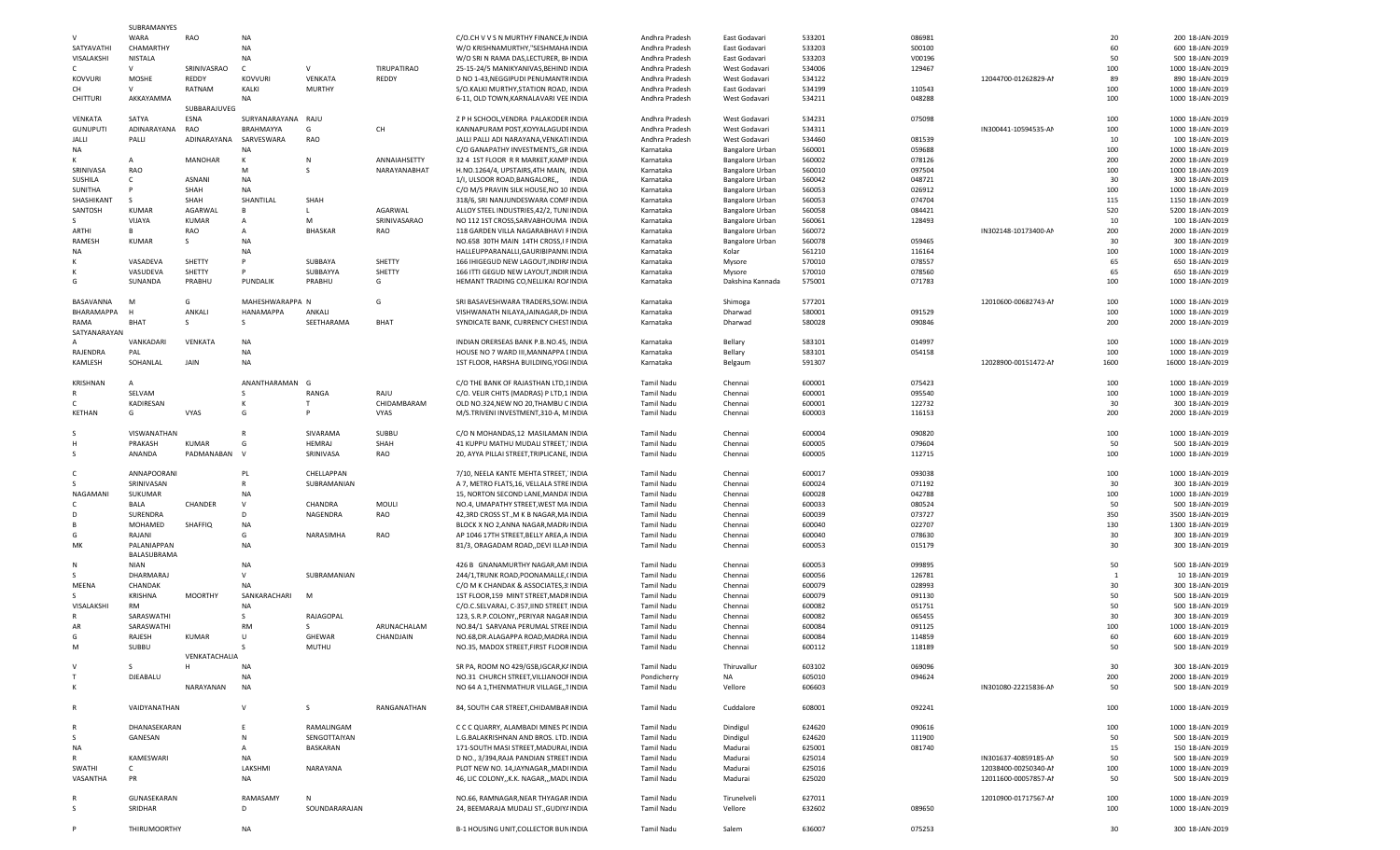|                 | SUBRAMANYES    |                |                    |                |              |                                           |                |                        |        |        |                      |      |                   |
|-----------------|----------------|----------------|--------------------|----------------|--------------|-------------------------------------------|----------------|------------------------|--------|--------|----------------------|------|-------------------|
|                 | WARA           | RAO            | <b>NA</b>          |                |              | C/O.CH V V S N MURTHY FINANCE, N INDIA    | Andhra Pradesh | East Godavari          | 533201 | 086981 |                      | 20   | 200 18-JAN-2019   |
| SATYAVATHI      | CHAMARTHY      |                | <b>NA</b>          |                |              | W/O KRISHNAMURTHY."SESHMAHA INDIA         | Andhra Pradesh | East Godavari          | 533203 | S00100 |                      | 60   | 600 18-JAN-2019   |
| VISALAKSHI      | <b>NISTALA</b> |                | <b>NA</b>          |                |              | W/O SRI N RAMA DAS, LECTURER, BI INDIA    | Andhra Pradesh | East Godavari          | 533203 | V00196 |                      | 50   | 500 18-JAN-2019   |
| $\mathsf{C}$    | v              | SRINIVASRAO    | C                  | v              | TIRUPATIRAO  | 25-15-24/5 MANIKYANIVAS, BEHIND INDIA     | Andhra Pradesh | West Godavari          | 534006 | 129467 |                      | 100  | 1000 18-JAN-2019  |
| <b>KOVVURI</b>  | MOSHE          | REDDY          | <b>KOVVURI</b>     | VENKATA        | REDDY        | D NO 1-43, NEGGIPUDI PENUMANTF INDIA      | Andhra Pradesh | West Godavari          | 534122 |        | 12044700-01262829-AM | 89   | 890 18-JAN-2019   |
| CH              | $\vee$         | RATNAM         | KALKI              | MURTHY         |              | S/O.KALKI MURTHY, STATION ROAD, INDIA     | Andhra Pradesh | East Godavari          | 534199 | 110543 |                      | 100  | 1000 18-JAN-2019  |
| CHITTURI        | AKKAYAMMA      |                | <b>NA</b>          |                |              | 6-11, OLD TOWN, KARNALAVARI VEE INDIA     | Andhra Pradesh | West Godavari          | 534211 | 048288 |                      | 100  | 1000 18-JAN-2019  |
|                 |                | SUBBARAJUVEG   |                    |                |              |                                           |                |                        |        |        |                      |      |                   |
| VENKATA         | SATYA          | ESNA           | SURYANARAYANA RAJU |                |              | Z P H SCHOOL, VENDRA PALAKODER INDIA      | Andhra Pradesh | West Godavari          | 534231 | 075098 |                      | 100  | 1000 18-JAN-2019  |
| <b>GUNUPUTI</b> | ADINARAYANA    | RAO            | BRAHMAYYA          | G              | CH           | KANNAPURAM POST, KOYYALAGUDI INDIA        | Andhra Pradesh | West Godavari          | 534311 |        | IN300441-10594535-AM | 100  | 1000 18-JAN-2019  |
| JALLI           | PALLI          | ADINARAYANA    | SARVESWARA         | RAO            |              | JALLI PALLI ADI NARAYANA, VENKAT INDIA    | Andhra Pradesh | West Godavari          | 534460 | 081539 |                      | 10   | 100 18-JAN-2019   |
| NA              |                |                | <b>NA</b>          |                |              | C/O GANAPATHY INVESTMENTS,, GR INDIA      |                |                        | 560001 | 059688 |                      | 100  | 1000 18-JAN-2019  |
|                 |                |                |                    |                |              |                                           | Karnataka      | <b>Bangalore Urban</b> |        |        |                      |      |                   |
| к               | A              | <b>MANOHAR</b> | K                  | N              | ANNAIAHSETTY | 32 4 1ST FLOOR R R MARKET, KAMP INDIA     | Karnataka      | <b>Bangalore Urban</b> | 560002 | 078126 |                      | 200  | 2000 18-JAN-2019  |
| SRINIVASA       | <b>RAO</b>     |                | M                  |                | NARAYANABHAT | H.NO.1264/4, UPSTAIRS, 4TH MAIN, INDIA    | Karnataka      | <b>Bangalore Urban</b> | 560010 | 097504 |                      | 100  | 1000 18-JAN-2019  |
| SUSHILA         | c              | ASNANI         | NA                 |                |              | 1/I, ULSOOR ROAD, BANGALORE,, INDIA       | Karnataka      | <b>Bangalore Urban</b> | 560042 | 048721 |                      | 30   | 300 18-JAN-201    |
| SUNITHA         | P              | SHAH           | NA                 |                |              | C/O M/S PRAVIN SILK HOUSE, NO 10 INDIA    | Karnataka      | Bangalore Urban        | 560053 | 026912 |                      | 100  | 1000 18-JAN-2019  |
| SHASHIKANT      | S              | SHAH           | SHANTILAL          | SHAH           |              | 318/6, SRI NANJUNDESWARA COMF INDIA       | Karnataka      | <b>Bangalore Urban</b> | 560053 | 074704 |                      | 115  | 1150 18-JAN-2019  |
| SANTOSH         | <b>KUMAR</b>   | AGARWAL        | B                  |                | AGARWAL      | ALLOY STEEL INDUSTRIES, 42/2, TUN INDIA   | Karnataka      | <b>Bangalore Urban</b> | 560058 | 084421 |                      | 520  | 5200 18-JAN-2019  |
| -S              | VIJAYA         | <b>KUMAR</b>   | A                  | M              | SRINIVASARAO | NO 112 1ST CROSS, SARVABHOUMA INDIA       | Karnataka      | <b>Bangalore Urban</b> | 560061 | 128493 |                      | 10   | 100 18-JAN-2019   |
| ARTHI           | B              | RAO            | A                  | <b>BHASKAR</b> | RAO          | 118 GARDEN VILLA NAGARABHAVI F INDIA      | Karnataka      | <b>Bangalore Urban</b> | 560072 |        | IN302148-10173400-AM | 200  | 2000 18-JAN-2019  |
| RAMESH          | <b>KUMAR</b>   |                | NA                 |                |              | NO.658 30TH MAIN 14TH CROSS, I FINDIA     | Karnataka      | <b>Bangalore Urban</b> | 560078 | 059465 |                      | 30   | 300 18-JAN-2019   |
| <b>NA</b>       |                |                | <b>NA</b>          |                |              | HALLEUPPARANALLI, GAURIBIPANNI INDIA      | Karnataka      | Kolar                  | 561210 | 116164 |                      | 100  | 1000 18-JAN-2019  |
| к               | VASADEVA       | SHETTY         | P                  | SUBBAYA        | SHETTY       | 166 IHIGEGUD NEW LAGOUT, INDIRI INDIA     | Karnataka      |                        | 570010 | 078557 |                      | 65   | 650 18-JAN-2019   |
|                 |                |                |                    |                |              |                                           |                | Mysore                 |        |        |                      | 65   |                   |
|                 | VASUDEVA       | SHETTY         |                    | SUBBAYYA       | SHETTY       | 166 ITTI GEGUD NEW LAYOUT, INDIR INDIA    | Karnataka      | Mysore                 | 570010 | 078560 |                      |      | 650 18-JAN-2019   |
| G               | SUNANDA        | PRABHU         | PUNDALIK           | PRABHU         | G            | HEMANT TRADING CO, NELLIKAI ROJ INDIA     | Karnataka      | Dakshina Kannada       | 575001 | 071783 |                      | 100  | 1000 18-JAN-2019  |
|                 |                |                |                    |                |              |                                           |                |                        |        |        |                      |      |                   |
| BASAVANNA       | M              | G              | MAHESHWARAPPA N    |                | G            | SRI BASAVESHWARA TRADERS, SOW INDIA       | Karnataka      | Shimoga                | 577201 |        | 12010600-00682743-AM | 100  | 1000 18-JAN-2019  |
| BHARAMAPPA      |                | ANKALI         | HANAMAPPA          | ANKALI         |              | VISHWANATH NILAYA, JAINAGAR, DI INDIA     | Karnataka      | Dharwad                | 580001 | 091529 |                      | 100  | 1000 18-JAN-2019  |
| RAMA            | <b>BHAT</b>    |                | S                  | SEETHARAMA     | BHAT         | SYNDICATE BANK, CURRENCY CHEST INDIA      | Karnataka      | Dharwad                | 580028 | 090846 |                      | 200  | 2000 18-JAN-2019  |
| SATYANARAYAN    |                |                |                    |                |              |                                           |                |                        |        |        |                      |      |                   |
|                 | VANKADARI      | VENKATA        | <b>NA</b>          |                |              | INDIAN ORERSEAS BANK P.B.NO.45, INDIA     | Karnataka      | Bellary                | 583101 | 014997 |                      | 100  | 1000 18-JAN-2019  |
| RAJENDRA        | PAL            |                | NA                 |                |              | HOUSE NO 7 WARD III, MANNAPPA I INDIA     | Karnataka      | Bellary                | 583101 | 054158 |                      | 100  | 1000 18-JAN-2019  |
| KAMLESH         | SOHANLAL       | JAIN           | <b>NA</b>          |                |              | 1ST FLOOR, HARSHA BUILDING, YOG INDIA     | Karnataka      | Belgaum                | 591307 |        | 12028900-00151472-AM | 1600 | 16000 18-JAN-2019 |
|                 |                |                |                    |                |              |                                           |                |                        |        |        |                      |      |                   |
| <b>KRISHNAN</b> | A              |                | ANANTHARAMAN       | - G            |              | C/O THE BANK OF RAJASTHAN LTD,1 INDIA     | Tamil Nadu     | Chennai                | 600001 | 075423 |                      | 100  | 1000 18-JAN-2019  |
|                 | SELVAM         |                | S                  | RANGA          | RAJU         | C/O. VELIR CHITS (MADRAS) P LTD,1 INDIA   | Tamil Nadu     | Chennai                | 600001 | 095540 |                      | 100  | 1000 18-JAN-2019  |
|                 |                |                |                    |                |              |                                           |                |                        |        |        |                      |      |                   |
| C.              | KADIRESAN      |                | К                  |                | CHIDAMBARAM  | OLD NO.324, NEW NO 20, THAMBU C INDIA     | Tamil Nadu     | Chennai                | 600001 | 122732 |                      | 30   | 300 18-JAN-2019   |
| KETHAN          | G              | VYAS           | G                  |                | VYAS         | M/S.TRIVENI INVESTMENT, 310-A, M INDIA    | Tamil Nadu     | Chennai                | 600003 | 116153 |                      | 200  | 2000 18-JAN-2019  |
|                 |                |                |                    |                |              |                                           |                |                        |        |        |                      |      |                   |
| -S              | VISWANATHAN    |                | $\mathsf{R}$       | SIVARAMA       | SUBBU        | C/O N MOHANDAS,12 MASILAMAN INDIA         | Tamil Nadu     | Chennai                | 600004 | 090820 |                      | 100  | 1000 18-JAN-2019  |
| H               | PRAKASH        | KUMAR          | G                  | HEMRAJ         | SHAH         | 41 KUPPU MATHU MUDALI STREET, INDIA       | Tamil Nadu     | Chennai                | 600005 | 079604 |                      | 50   | 500 18-JAN-2019   |
| -S              | ANANDA         | PADMANABAN V   |                    | SRINIVASA      | RAO          | 20, AYYA PILLAI STREET, TRIPLICANE, INDIA | Tamil Nadu     | Chennai                | 600005 | 112715 |                      | 100  | 1000 18-JAN-2019  |
|                 |                |                |                    |                |              |                                           |                |                        |        |        |                      |      |                   |
| c               | ANNAPOORANI    |                | PL                 | CHELLAPPAN     |              | 7/10, NEELA KANTE MEHTA STREET, INDIA     | Tamil Nadu     | Chennai                | 600017 | 093038 |                      | 100  | 1000 18-JAN-2019  |
| -S              | SRINIVASAN     |                | $\mathsf{R}$       | SUBRAMANIAN    |              | A 7, METRO FLATS, 16, VELLALA STRE INDIA  | Tamil Nadu     | Chennai                | 600024 | 071192 |                      | 30   | 300 18-JAN-2019   |
| NAGAMANI        | SUKUMAR        |                | <b>NA</b>          |                |              | 15, NORTON SECOND LANE, MANDA INDIA       | Tamil Nadu     | Chennai                | 600028 | 042788 |                      | 100  | 1000 18-JAN-2019  |
| -C              | BALA           | CHANDER        | V                  | CHANDRA        | MOULI        | NO.4, UMAPATHY STREET, WEST MA INDIA      | Tamil Nadu     | Chennai                | 600033 | 080524 |                      | 50   | 500 18-JAN-2019   |
| D               | SURENDRA       |                | D                  | NAGENDRA       | RAO          | 42,3RD CROSS ST., M K B NAGAR, MA INDIA   | Tamil Nadu     | Chennai                | 600039 | 073727 |                      | 350  | 3500 18-JAN-2019  |
|                 | MOHAMED        | SHAFFIQ        | <b>NA</b>          |                |              | BLOCK X NO 2, ANNA NAGAR, MADR, INDIA     | Tamil Nadu     | Chennai                | 600040 | 022707 |                      | 130  | 1300 18-JAN-2019  |
| G               | RAJANI         |                | G                  | NARASIMHA      | RAO          | AP 1046 17TH STREET, BELLY AREA, A INDIA  | Tamil Nadu     | Chennai                | 600040 | 078630 |                      | 30   | 300 18-JAN-2019   |
| МK              | PALANIAPPAN    |                | NA                 |                |              | 81/3, ORAGADAM ROAD, DEVI ILLAI INDIA     | Tamil Nadu     | Chennai                | 600053 | 015179 |                      | 30   | 300 18-JAN-2019   |
|                 |                |                |                    |                |              |                                           |                |                        |        |        |                      |      |                   |
|                 | BALASUBRAMA    |                |                    |                |              |                                           |                |                        |        |        |                      |      |                   |
| N               | NIAN           |                | <b>NA</b>          |                |              | 426 B GNANAMURTHY NAGAR, AM INDIA         | Tamil Nadu     | Chennai                | 600053 | 099895 |                      | 50   | 500 18-JAN-2019   |
| -S              | DHARMARAJ      |                | V                  | SUBRAMANIAN    |              | 244/1, TRUNK ROAD, POONAMALLE, (INDIA     | Tamil Nadu     | Chennai                | 600056 | 126781 |                      | -1   | 10 18-JAN-2019    |
| MEENA           | CHANDAK        |                | <b>NA</b>          |                |              | C/O M K CHANDAK & ASSOCIATES, 3 INDIA     | Tamil Nadu     | Chennai                | 600079 | 028993 |                      | 30   | 300 18-JAN-2019   |
| -S              | <b>KRISHNA</b> | <b>MOORTHY</b> | SANKARACHARI       | M              |              | 1ST FLOOR, 159 MINT STREET, MADF INDIA    | Tamil Nadu     | Chennai                | 600079 | 091130 |                      | 50   | 500 18-JAN-2019   |
| VISALAKSHI      | <b>RM</b>      |                | NA                 |                |              | C/O.C.SELVARAJ, C-357, IIND STREET INDIA  | Tamil Nadu     | Chennai                | 600082 | 051751 |                      | 50   | 500 18-JAN-2019   |
|                 | SARASWATHI     |                | S                  | RAJAGOPAL      |              | 123, S.R.P.COLONY,, PERIYAR NAGAF INDIA   | Tamil Nadu     | Chennai                | 600082 | 065455 |                      | 30   | 300 18-JAN-2019   |
| AR              | SARASWATHI     |                | <b>RM</b>          | -S             | ARUNACHALAM  | NO.84/1 SARVANA PERUMAL STREE INDIA       | Tamil Nadu     | Chennai                | 600084 | 091125 |                      | 100  | 1000 18-JAN-2019  |
| G               | RAJESH         | KUMAR          | U                  | GHEWAR         | CHANDJAIN    | NO.68, DR. ALAGAPPA ROAD, MADRA INDIA     | Tamil Nadu     | Chennai                | 600084 | 114859 |                      | 60   | 600 18-JAN-2019   |
| м               | SUBBU          |                |                    | MUTHU          |              | NO.35, MADOX STREET, FIRST FLOOF INDIA    | Tamil Nadu     | Chennai                | 600112 | 118189 |                      | 50   | 500 18-JAN-2019   |
|                 |                | VENKATACHALIA  |                    |                |              |                                           |                |                        |        |        |                      |      |                   |
| $\mathsf{v}$    | S              | н              | <b>NA</b>          |                |              | SR PA, ROOM NO 429/GSB, IGCAR, K/ INDIA   | Tamil Nadu     | Thiruvallur            | 603102 | 069096 |                      | 30   | 300 18-JAN-2019   |
| T               | DJEABALU       |                | <b>NA</b>          |                |              | NO.31 CHURCH STREET, VILLIANOOI INDIA     | Pondicherry    | <b>NA</b>              | 605010 | 094624 |                      | 200  | 2000 18-JAN-2019  |
| $\mathsf{K}$    |                | NARAYANAN      | NA                 |                |              | NO 64 A 1, THENMATHUR VILLAGE, , 1 INDIA  | Tamil Nadu     | Vellore                | 606603 |        | IN301080-22215836-AM | 50   | 500 18-JAN-2019   |
|                 |                |                |                    |                |              |                                           |                |                        |        |        |                      |      |                   |
| $\mathsf{R}$    | VAIDYANATHAN   |                | $\mathsf{V}$       | S.             | RANGANATHAN  | 84, SOUTH CAR STREET, CHIDAMBAF INDIA     | Tamil Nadu     | Cuddalore              | 608001 | 092241 |                      | 100  | 1000 18-JAN-2019  |
|                 |                |                |                    |                |              |                                           |                |                        |        |        |                      |      |                   |
|                 |                |                | F                  |                |              |                                           |                |                        |        |        |                      |      | 1000 18-JAN-2019  |
| $\mathsf{R}$    | DHANASEKARAN   |                |                    | RAMALINGAM     |              | C C C QUARRY, ALAMBADI MINES P( INDIA     | Tamil Nadu     | Dindigul               | 624620 | 090616 |                      | 100  |                   |
| <sub>S</sub>    | GANESAN        |                | N                  | SENGOTTAIYAN   |              | L.G.BALAKRISHNAN AND BROS. LTD. INDIA     | Tamil Nadu     | Dindigul               | 624620 | 111900 |                      | 50   | 500 18-JAN-2019   |
| NA              |                |                | Α                  | BASKARAN       |              | 171-SOUTH MASI STREET, MADURAI INDIA      | Tamil Nadu     | Madurai                | 625001 | 081740 |                      | 15   | 150 18-JAN-2019   |
| R               | KAMESWARI      |                | NA                 |                |              | D NO., 3/394, RAJA PANDIAN STREET INDIA   | Tamil Nadu     | Madurai                | 625014 |        | IN301637-40859185-AM | 50   | 500 18-JAN-2019   |
| SWATHI          | C              |                | LAKSHMI            | NARAYANA       |              | PLOT NEW NO. 14, JAYNAGAR, , MADI INDIA   | Tamil Nadu     | Madurai                | 625016 |        | 12038400-00250340-AM | 100  | 1000 18-JAN-2019  |
| VASANTHA        | PR             |                | NA                 |                |              | 46, LIC COLONY,, K.K. NAGAR,,, MADI INDIA | Tamil Nadu     | Madurai                | 625020 |        | 12011600-00057857-AI | 50   | 500 18-JAN-2019   |
|                 |                |                |                    |                |              |                                           |                |                        |        |        |                      |      |                   |
|                 |                |                |                    |                |              |                                           |                |                        | 627011 |        | 12010900-01717567-AM | 100  | 1000 18-JAN-2019  |
| R               | GUNASEKARAN    |                | RAMASAMY           | N              |              | NO.66, RAMNAGAR, NEAR THYAGAR INDIA       | Tamil Nadu     | Tirunelveli            |        |        |                      |      |                   |
| S               | SRIDHAR        |                | D                  | SOUNDARARAJAN  |              |                                           | Tamil Nadu     | Vellore                | 632602 | 089650 |                      | 100  | 1000 18-JAN-2019  |
|                 |                |                |                    |                |              | 24, BEEMARAJA MUDALI ST., GUDIY/ INDIA    |                |                        |        |        |                      |      |                   |
|                 | THIRUMOORTHY   |                | NA                 |                |              | B-1 HOUSING UNIT, COLLECTOR BUN INDIA     | Tamil Nadu     | Salem                  | 636007 | 075253 |                      | 30   | 300 18-JAN-2019   |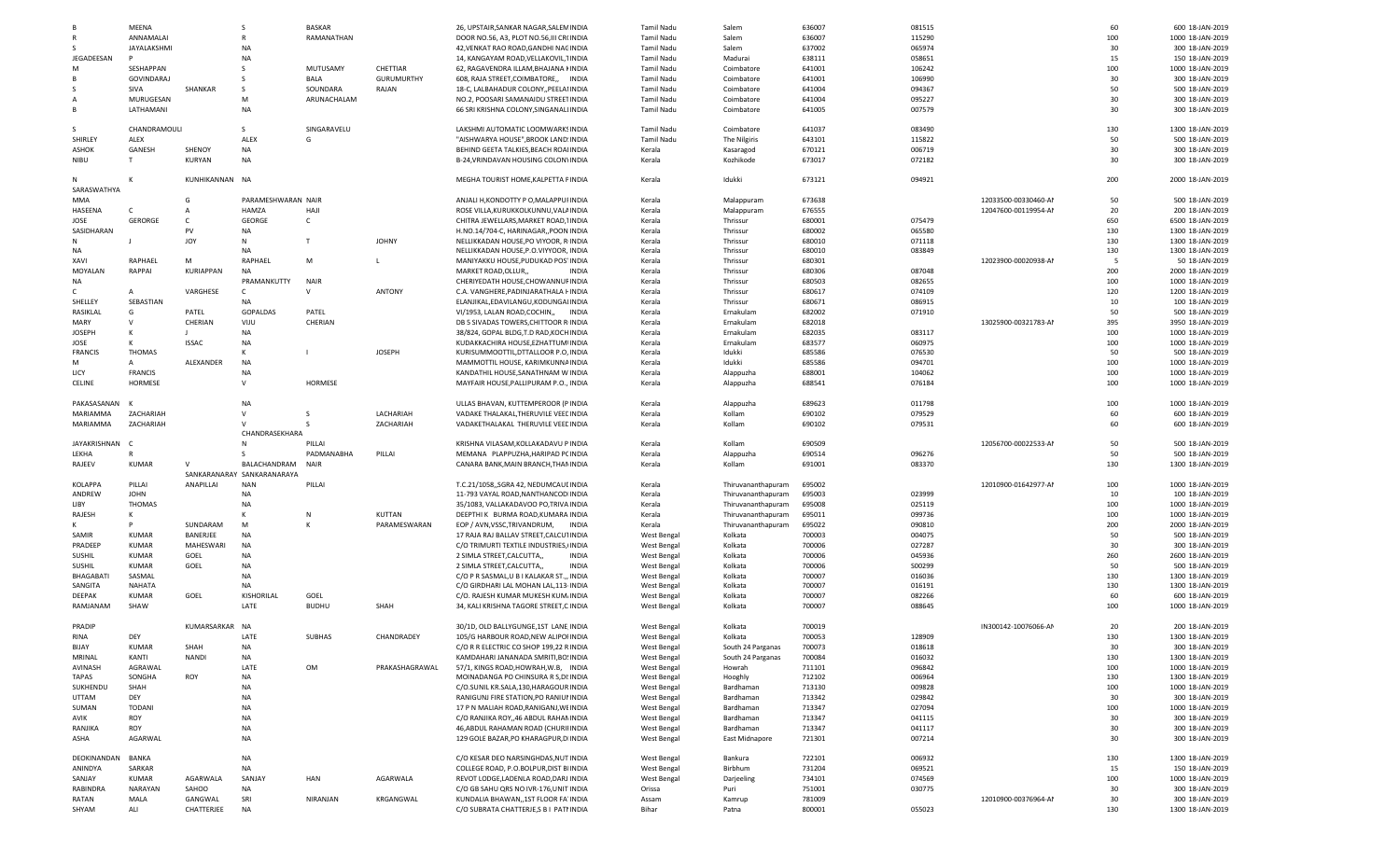|                  | MEENA          |                       | -S                         | <b>BASKAR</b> |                   | 26, UPSTAIR, SANKAR NAGAR, SALEN INDIA                                        | Tamil Nadu  | Salem              | 636007           | 081515 |                      | 60        | 600 18-JAN-2019                     |
|------------------|----------------|-----------------------|----------------------------|---------------|-------------------|-------------------------------------------------------------------------------|-------------|--------------------|------------------|--------|----------------------|-----------|-------------------------------------|
|                  | ANNAMALAI      |                       | R                          | RAMANATHAN    |                   | DOOR NO.56, A3, PLOT NO.56, III CRI INDIA                                     | Tamil Nadu  | Salem              | 636007           | 115290 |                      | 100       | 1000 18-JAN-2019                    |
|                  | JAYALAKSHMI    |                       | <b>NA</b>                  |               |                   | 42, VENKAT RAO ROAD, GANDHI NAC INDIA                                         | Tamil Nadu  | Salem              | 637002           | 065974 |                      | 30        | 300 18-JAN-2019                     |
| JEGADEESAN       |                |                       | NA                         |               |                   | 14, KANGAYAM ROAD, VELLAKOVIL, 1 INDIA                                        | Tamil Nadu  | Madurai            | 638111           | 058651 |                      | 15        | 150 18-JAN-2019                     |
|                  |                |                       |                            |               |                   |                                                                               |             |                    |                  |        |                      |           |                                     |
| M                | SESHAPPAN      |                       |                            | MUTUSAMY      | CHETTIAR          | 62, RAGAVENDRA ILLAM, BHAJANA I INDIA                                         | Tamil Nadu  | Coimbatore         | 641001           | 106242 |                      | 100       | 1000 18-JAN-2019                    |
|                  | GOVINDARAJ     |                       |                            | BALA          | <b>GURUMURTHY</b> | 608, RAJA STREET, COIMBATORE,, INDIA                                          | Tamil Nadu  | Coimbatore         | 641001           | 106990 |                      | 30        | 300 18-JAN-2019                     |
|                  | SIVA           | SHANKAR               | -S                         | SOUNDARA      | RAJAN             | 18-C, LALBAHADUR COLONY, PEELAI INDIA                                         | Tamil Nadu  | Coimbatore         | 641004           | 094367 |                      | 50        | 500 18-JAN-2019                     |
| А                | MURUGESAN      |                       | M                          | ARUNACHALAM   |                   | NO.2, POOSARI SAMANAIDU STREE1 INDIA                                          | Tamil Nadu  | Coimbatore         | 641004           | 095227 |                      | 30        | 300 18-JAN-2019                     |
|                  |                |                       |                            |               |                   |                                                                               |             |                    |                  |        |                      |           |                                     |
| B                | LATHAMANI      |                       | <b>NA</b>                  |               |                   | 66 SRI KRISHNA COLONY, SINGANALI INDIA                                        | Tamil Nadu  | Coimbatore         | 641005           | 007579 |                      | 30        | 300 18-JAN-2019                     |
| S.               | CHANDRAMOULI   |                       | S.                         | SINGARAVELU   |                   | LAKSHMI AUTOMATIC LOOMWARK! INDIA                                             | Tamil Nadu  | Coimbatore         | 641037           | 083490 |                      | 130       | 1300 18-JAN-2019                    |
| SHIRLEY          | ALEX           |                       | ALEX                       | G             |                   | "AISHWARYA HOUSE", BROOK LAND INDIA                                           | Tamil Nadu  |                    | 643101           | 115822 |                      | 50        | 500 18-JAN-2019                     |
|                  |                |                       |                            |               |                   |                                                                               |             | The Nilgiris       |                  |        |                      |           |                                     |
| ASHOK            | GANESH         | SHENOY                | NA                         |               |                   | BEHIND GEETA TALKIES, BEACH ROA INDIA                                         | Kerala      | Kasaragod          | 670121           | 006719 |                      | 30        | 300 18-JAN-2019                     |
| <b>NIBU</b>      | T              | KURYAN                | <b>NA</b>                  |               |                   | B-24, VRINDAVAN HOUSING COLON' INDIA                                          | Kerala      | Kozhikode          | 673017           | 072182 |                      | 30        | 300 18-JAN-2019                     |
|                  |                | KUNHIKANNAN NA        |                            |               |                   |                                                                               |             |                    |                  |        |                      |           |                                     |
| N<br>SARASWATHYA | к              |                       |                            |               |                   | MEGHA TOURIST HOME, KALPETTA F INDIA                                          | Kerala      | Idukki             | 673121           | 094921 |                      | 200       | 2000 18-JAN-2019                    |
|                  |                |                       |                            |               |                   | ANJALI H.KONDOTTY P O.MALAPPUI INDIA                                          |             |                    |                  |        |                      |           |                                     |
| MMA              |                | G                     | PARAMESHWARAN NAIR         |               |                   |                                                                               | Kerala      | Malappuram         | 673638           |        | 12033500-00330460-AM | 50        | 500 18-JAN-2019                     |
| HASEENA          |                | A                     | HAMZA                      | HAJI          |                   | ROSE VILLA, KURUKKOLKUNNU, VALI INDIA                                         | Kerala      | Malappuram         | 676555           |        | 12047600-00119954-AM | 20        | 200 18-JAN-2019                     |
| JOSE             | <b>GERORGE</b> | C                     | GEORGE                     | C             |                   | CHITRA JEWELLARS, MARKET ROAD," INDIA                                         | Kerala      | Thrissur           | 680001           | 075479 |                      | 650       | 6500 18-JAN-2019                    |
| SASIDHARAN       |                | PV                    | NA                         |               |                   | H.NO.14/704-C, HARINAGAR, POON INDIA                                          | Kerala      | Thrissur           | 680002           | 065580 |                      | 130       | 1300 18-JAN-2019                    |
|                  |                |                       |                            |               |                   |                                                                               |             |                    |                  |        |                      |           |                                     |
| N                | $\perp$        | JOY                   | N                          | $\mathsf{T}$  | <b>JOHNY</b>      | NELLIKKADAN HOUSE, PO VIYOOR, R INDIA                                         | Kerala      | Thrissur           | 680010           | 071118 |                      | 130       | 1300 18-JAN-2019                    |
| NA               |                |                       | <b>NA</b>                  |               |                   | NELLIKKADAN HOUSE, P.O.VIYYOOR, INDIA                                         | Kerala      | Thrissur           | 680010           | 083849 |                      | 130       | 1300 18-JAN-2019                    |
| XAVI             | RAPHAEL        | M                     | RAPHAEL                    | M             | L                 | MANIYAKKU HOUSE, PUDUKAD POS INDIA                                            | Kerala      | Thrissur           | 680301           |        | 12023900-00020938-AM | 5         | 50 18-JAN-2019                      |
| MOYALAN          | RAPPAI         | KURIAPPAN             | <b>NA</b>                  |               |                   | MARKET ROAD, OLLUR,<br><b>INDIA</b>                                           |             | Thrissur           | 680306           | 087048 |                      | 200       | 2000 18-JAN-2019                    |
|                  |                |                       |                            |               |                   |                                                                               | Kerala      |                    |                  |        |                      |           |                                     |
| NA               |                |                       | PRAMANKUTTY                | <b>NAIR</b>   |                   | CHERIYEDATH HOUSE, CHOWANNUI INDIA                                            | Kerala      | Thrissur           | 680503           | 082655 |                      | 100       | 1000 18-JAN-2019                    |
| C.               | $\mathsf{A}$   | VARGHESE              | $\mathsf{C}$               | v             | <b>ANTONY</b>     | C.A. VANGHERE.PADINJARATHALA I INDIA                                          | Kerala      | Thrissur           | 680617           | 074109 |                      | 120       | 1200 18-JAN-2019                    |
| SHELLEY          | SEBASTIAN      |                       | <b>NA</b>                  |               |                   | ELANJIKAL, EDAVILANGU, KODUNGAI INDIA                                         | Kerala      | Thrissur           | 680671           | 086915 |                      | 10        | 100 18-JAN-2019                     |
|                  |                |                       |                            |               |                   |                                                                               |             |                    |                  |        |                      |           |                                     |
| RASIKLAL         | G              | PATEL                 | <b>GOPALDAS</b>            | PATEL         |                   | VI/1953, LALAN ROAD,COCHIN,,<br>INDIA                                         | Kerala      | Ernakulam          | 682002           | 071910 |                      | 50        | 500 18-JAN-2019                     |
| MARY             | $\mathsf{v}$   | CHERIAN               | VIJU                       | CHERIAN       |                   | DB 5 SIVADAS TOWERS, CHITTOOR R INDIA                                         | Kerala      | Ernakulam          | 682018           |        | 13025900-00321783-AM | 395       | 3950 18-JAN-2019                    |
| <b>JOSEPH</b>    | к              |                       | <b>NA</b>                  |               |                   | 38/824, GOPAL BLDG,T.D RAD,KOCH INDIA                                         | Kerala      | Ernakulam          | 682035           | 083117 |                      | 100       | 1000 18-JAN-2019                    |
|                  |                |                       |                            |               |                   |                                                                               |             |                    |                  |        |                      |           |                                     |
| JOSE             | к              | <b>ISSAC</b>          | <b>NA</b>                  |               |                   | KUDAKKACHIRA HOUSE, EZHATTUM INDIA                                            | Kerala      | Ernakulam          | 683577           | 060975 |                      | 100       | 1000 18-JAN-2019                    |
| <b>FRANCIS</b>   | <b>THOMAS</b>  |                       | к                          |               | <b>JOSEPH</b>     | KURISUMMOOTTIL, DTTALLOOR P.O. INDIA                                          | Kerala      | Idukki             | 685586           | 076530 |                      | 50        | 500 18-JAN-2019                     |
| M                | $\mathsf{A}$   | ALEXANDER             | <b>NA</b>                  |               |                   | MAMMOTTIL HOUSE, KARIMKUNNA INDIA                                             | Kerala      | Idukki             | 685586           | 094701 |                      | 100       | 1000 18-JAN-2019                    |
| LICY             | <b>FRANCIS</b> |                       | <b>NA</b>                  |               |                   |                                                                               | Kerala      |                    | 688001           | 104062 |                      | 100       | 1000 18-JAN-2019                    |
|                  |                |                       |                            |               |                   | KANDATHIL HOUSE, SANATHNAM W INDIA                                            |             | Alappuzha          |                  |        |                      |           |                                     |
| CELINE           | HORMESE        |                       | $\mathsf{v}$               | HORMESE       |                   | MAYFAIR HOUSE, PALLIPURAM P.O., INDIA                                         | Kerala      | Alappuzha          | 688541           | 076184 |                      | 100       | 1000 18-JAN-2019                    |
|                  |                |                       |                            |               |                   |                                                                               |             |                    |                  |        |                      |           |                                     |
| PAKASASANAN      |                |                       | <b>NA</b>                  |               |                   | ULLAS BHAVAN, KUTTEMPEROOR (P INDIA                                           | Kerala      | Alappuzha          | 689623           | 011798 |                      | 100       | 1000 18-JAN-2019                    |
| MARIAMMA         | ZACHARIAH      |                       | $\mathsf{V}$               | S             | LACHARIAH         | VADAKE THALAKAL, THERUVILE VEEL INDIA                                         | Kerala      | Kollam             | 690102           | 079529 |                      | 60        | 600 18-JAN-2019                     |
|                  |                |                       |                            |               |                   |                                                                               |             |                    |                  |        |                      |           |                                     |
|                  |                |                       |                            |               |                   |                                                                               |             |                    |                  |        |                      |           |                                     |
| MARIAMMA         | ZACHARIAH      |                       |                            |               | ZACHARIAH         | VADAKETHALAKAL THERUVILE VEEL INDIA                                           | Kerala      | Kollam             | 690102           | 079531 |                      | 60        | 600 18-JAN-2019                     |
|                  |                |                       | CHANDRASEKHARA             |               |                   |                                                                               |             |                    |                  |        |                      |           |                                     |
| JAYAKRISHNAN     |                |                       |                            | PILLAI        |                   | KRISHNA VILASAM, KOLLAKADAVU P INDIA                                          | Kerala      | Kollam             | 690509           |        | 12056700-00022533-AM | 50        | 500 18-JAN-2019                     |
| LEKHA            |                |                       |                            | PADMANABHA    |                   |                                                                               |             |                    |                  | 096276 |                      |           |                                     |
|                  |                |                       |                            |               | PILLAI            | MEMANA PLAPPUZHA, HARIPAD P(INDIA                                             | Kerala      | Alappuzha          | 690514           |        |                      | 50        | 500 18-JAN-2019                     |
| RAJEEV           | <b>KUMAR</b>   | v                     | BALACHANDRAM               | NAIR          |                   | CANARA BANK, MAIN BRANCH, THAN INDIA                                          | Kerala      | Kollam             | 691001           | 083370 |                      | 130       | 1300 18-JAN-2019                    |
|                  |                |                       | SANKARANARAY SANKARANARAYA |               |                   |                                                                               |             |                    |                  |        |                      |           |                                     |
| KOLAPPA          | PILLAI         | ANAPILLAI             | <b>NAN</b>                 | PILLAI        |                   | T.C.21/1058,,SGRA 42, NEDUMCAUI INDIA                                         | Kerala      | Thiruvananthapuram | 695002           |        | 12010900-01642977-AM | 100       | 1000 18-JAN-2019                    |
| ANDREW           | <b>JOHN</b>    |                       | <b>NA</b>                  |               |                   | 11-793 VAYAL ROAD, NANTHANCOD INDIA                                           | Kerala      |                    |                  | 023999 |                      | 10        | 100 18-JAN-2019                     |
|                  |                |                       |                            |               |                   |                                                                               |             | Thiruvananthapuram | 695003           |        |                      |           |                                     |
| LIBY             | <b>THOMAS</b>  |                       | <b>NA</b>                  |               |                   | 35/1083, VALLAKADAVOO PO, TRIVA INDIA                                         | Kerala      | Thiruvananthapuram | 695008           | 025119 |                      | 100       | 1000 18-JAN-2019                    |
| RAJESH           | к              |                       |                            | N             | KUTTAN            | DEEPTHI K BURMA ROAD, KUMARA INDIA                                            | Kerala      | Thiruvananthapuram | 695011           | 099736 |                      | 100       | 1000 18-JAN-2019                    |
| к                | P              | SUNDARAM              | M                          | К             | PARAMESWARAN      | EOP / AVN, VSSC, TRIVANDRUM,<br>INDIA                                         | Kerala      | Thiruvananthapuram | 695022           | 090810 |                      | 200       | 2000 18-JAN-2019                    |
|                  |                |                       |                            |               |                   |                                                                               |             |                    |                  |        |                      |           |                                     |
| SAMIR            | KUMAR          | BANERJEE              | <b>NA</b>                  |               |                   | 17 RAJA RAJ BALLAV STREET, CALCUT INDIA                                       | West Bengal | Kolkata            | 700003           | 004075 |                      | 50        | 500 18-JAN-2019                     |
| PRADEEP          | KUMAR          | MAHESWARI             | NA                         |               |                   | C/O TRIMURTI TEXTILE INDUSTRIES, INDIA                                        | West Bengal | Kolkata            | 700006           | 027287 |                      | 30        | 300 18-JAN-2019                     |
| <b>SUSHIL</b>    | KUMAR          | GOEL                  | <b>NA</b>                  |               |                   | 2 SIMLA STREET, CALCUTTA<br><b>INDIA</b>                                      | West Bengal | Kolkata            | 700006           | 045936 |                      | 260       | 2600 18-JAN-2019                    |
| <b>SUSHIL</b>    | KUMAR          | GOEL                  | <b>NA</b>                  |               |                   | <b>INDIA</b><br>2 SIMLA STREET, CALCUTTA,                                     | West Bengal | Kolkata            | 700006           | S00299 |                      | 50        | 500 18-JAN-2019                     |
|                  |                |                       |                            |               |                   |                                                                               |             |                    |                  |        |                      |           |                                     |
| BHAGABATI        | SASMAL         |                       | <b>NA</b>                  |               |                   | C/O P R SASMAL, U B I KALAKAR ST., INDIA                                      | West Bengal | Kolkata            | 700007           | 016036 |                      | 130       | 1300 18-JAN-2019                    |
| SANGITA          | <b>NAHATA</b>  |                       | <b>NA</b>                  |               |                   | C/O GIRDHARI LAL MOHAN LAL, 113 INDIA                                         | West Bengal | Kolkata            | 700007           | 016191 |                      | 130       | 1300 18-JAN-2019                    |
| <b>DEEPAK</b>    | <b>KUMAR</b>   | GOEL                  | KISHORILAL                 | GOEL          |                   | C/O. RAJESH KUMAR MUKESH KUM. INDIA                                           | West Bengal | Kolkata            | 700007           | 082266 |                      | 60        | 600 18-JAN-2019                     |
| RAMJANAM         | SHAW           |                       | LATE                       | <b>BUDHU</b>  | SHAH              | 34, KALI KRISHNA TAGORE STREET,C INDIA                                        | West Bengal | Kolkata            | 700007           | 088645 |                      | 100       | 1000 18-JAN-2019                    |
|                  |                |                       |                            |               |                   |                                                                               |             |                    |                  |        |                      |           |                                     |
| <b>PRADIP</b>    |                | KUMARSARKAR           | NA                         |               |                   | 30/1D, OLD BALLYGUNGE, 1ST LANE INDIA                                         | West Bengal | Kolkata            | 700019           |        | IN300142-10076066-AM | 20        | 200 18-JAN-2019                     |
| RINA             | DEY            |                       | LATE                       | <b>SUBHAS</b> | CHANDRADEY        | 105/G HARBOUR ROAD, NEW ALIPOI INDIA                                          | West Bengal | Kolkata            | 700053           | 128909 |                      | 130       | 1300 18-JAN-2019                    |
|                  |                |                       |                            |               |                   |                                                                               |             |                    |                  |        |                      |           |                                     |
| BIJAY            | KUMAR          | SHAH                  | ΝA                         |               |                   | C/O R R ELECTRIC CO SHOP 199,22 R INDIA                                       | West Bengal | South 24 Parganas  | 700073           | 018618 |                      | 30        | 300 18-JAN-2019                     |
| MRINAL           | KANTI          | <b>NANDI</b>          | NA                         |               |                   | KAMDAHARI JANANADA SMRITI, BO: INDIA                                          | West Bengal | South 24 Parganas  | 700084           | 016032 |                      | 130       | 1300 18-JAN-2019                    |
| AVINASH          | AGRAWAL        |                       | LATE                       | OM            | PRAKASHAGRAWAL    | 57/1, KINGS ROAD, HOWRAH, W.B, INDIA                                          | West Bengal | Howrah             | 711101           | 096842 |                      | 100       | 1000 18-JAN-2019                    |
|                  |                |                       |                            |               |                   |                                                                               |             |                    |                  |        |                      |           |                                     |
| TAPAS            | SONGHA         | <b>ROY</b>            | <b>NA</b>                  |               |                   | MOINADANGA PO CHINSURA R S,DI INDIA                                           | West Bengal | Hooghly            | 712102           | 006964 |                      | 130       | 1300 18-JAN-2019                    |
| SUKHENDU         | SHAH           |                       | <b>NA</b>                  |               |                   | C/O.SUNIL KR.SALA,130,HARAGOUR INDIA                                          | West Bengal | Bardhaman          | 713130           | 009828 |                      | 100       | 1000 18-JAN-2019                    |
| <b>UTTAM</b>     | DEY            |                       | NA                         |               |                   | RANIGUNJ FIRE STATION, PO RANIUI INDIA                                        | West Bengal | Bardhaman          | 713342           | 029842 |                      | 30        | 300 18-JAN-2019                     |
| SUMAN            | TODANI         |                       | NA                         |               |                   | 17 P N MALIAH ROAD, RANIGANJ, WI INDIA                                        | West Bengal | Bardhaman          | 713347           | 027094 |                      | 100       | 1000 18-JAN-2019                    |
|                  |                |                       |                            |               |                   |                                                                               |             |                    |                  |        |                      |           |                                     |
| AVIK             | ROY            |                       | <b>NA</b>                  |               |                   | C/O RANJIKA ROY,,46 ABDUL RAHAI INDIA                                         | West Bengal | Bardhaman          | 713347           | 041115 |                      | 30        | 300 18-JAN-2019                     |
| RANJIKA          | ROY            |                       | <b>NA</b>                  |               |                   | 46, ABDUL RAHAMAN ROAD (CHURI INDIA                                           | West Bengal | Bardhaman          | 713347           | 041117 |                      | 30        | 300 18-JAN-2019                     |
| ASHA             | AGARWAL        |                       | <b>NA</b>                  |               |                   | 129 GOLE BAZAR, PO KHARAGPUR, D INDIA                                         | West Bengal | East Midnapore     | 721301           | 007214 |                      | 30        | 300 18-JAN-2019                     |
|                  |                |                       |                            |               |                   |                                                                               |             |                    |                  |        |                      |           |                                     |
| DEOKINANDAN      | BANKA          |                       | NA                         |               |                   | C/O KESAR DEO NARSINGHDAS, NUT INDIA                                          | West Bengal | Bankura            | 722101           | 006932 |                      | 130       | 1300 18-JAN-2019                    |
| ANINDYA          | SARKAR         |                       | <b>NA</b>                  |               |                   | COLLEGE ROAD, P.O.BOLPUR, DIST B INDIA                                        | West Bengal | Birbhum            | 731204           | 069521 |                      | 15        | 150 18-JAN-2019                     |
|                  |                |                       |                            |               |                   |                                                                               |             |                    |                  |        |                      |           |                                     |
| SANJAY           | KUMAR          | AGARWALA              | SANJAY                     | HAN           | AGARWALA          | REVOT LODGE,LADENLA ROAD,DARJ INDIA                                           | West Bengal | Darjeeling         | 734101           | 074569 |                      | 100       | 1000 18-JAN-2019                    |
| RABINDRA         | NARAYAN        | SAHOO                 | NA                         |               |                   | C/O GB SAHU QRS NO IVR-176, UNIT INDIA                                        | Orissa      | Puri               | 751001           | 030775 |                      | 30        | 300 18-JAN-2019                     |
| RATAN<br>SHYAM   | MALA           | GANGWAL<br>CHATTERJEE | SRI<br>NA                  | NIRANJAN      | KRGANGWAL         | KUNDALIA BHAWAN, 1ST FLOOR FA INDIA<br>C/O SUBRATA CHATTERJE,S B I PATI INDIA | Assam       | Kamrup             | 781009<br>800001 | 055023 | 12010900-00376964-AM | 30<br>130 | 300 18-JAN-2019<br>1300 18-JAN-2019 |